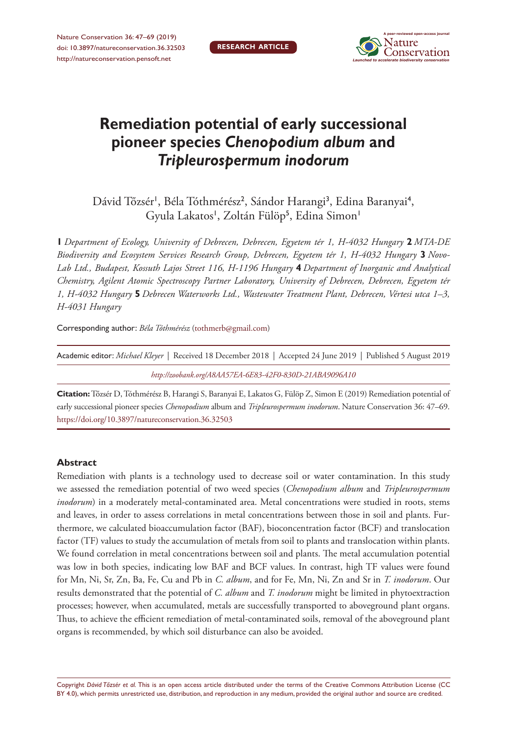

# **Remediation potential of early successional pioneer species** *Chenopodium album* **and**  *Tripleurospermum inodorum*

Dávid Tőzsér<sup>i</sup>, Béla Tóthmérész<sup>2</sup>, Sándor Harangi<sup>3</sup>, Edina Baranyai<sup>4</sup>, Gyula Lakatos', Zoltán Fülöp<sup>5</sup>, Edina Simon'

**1** *Department of Ecology, University of Debrecen, Debrecen, Egyetem tér 1, H-4032 Hungary* **2** *MTA-DE Biodiversity and Ecosystem Services Research Group, Debrecen, Egyetem tér 1, H-4032 Hungary* **3** *Novo-Lab Ltd., Budapest, Kossuth Lajos Street 116, H-1196 Hungary* **4** *Department of Inorganic and Analytical Chemistry, Agilent Atomic Spectroscopy Partner Laboratory, University of Debrecen, Debrecen, Egyetem tér 1, H-4032 Hungary* **5** *Debrecen Waterworks Ltd., Wastewater Treatment Plant, Debrecen, Vértesi utca 1–3, H-4031 Hungary*

Corresponding author: *Béla Tóthmérész* ([tothmerb@gmail.com\)](mailto:tothmerb@gmail.com)

| Academic editor: Michael Kleyer   Received 18 December 2018   Accepted 24 June 2019   Published 5 August 2019 |
|---------------------------------------------------------------------------------------------------------------|
| http://zoobank.org/A8AA57EA-6E83-42F0-830D-21ABA9096A10                                                       |
|                                                                                                               |

**Citation:** Tőzsér D, Tóthmérész B, Harangi S, Baranyai E, Lakatos G, Fülöp Z, Simon E (2019) Remediation potential of early successional pioneer species *Chenopodium* album and *Tripleurospermum inodorum*. Nature Conservation 36: 47–69. <https://doi.org/10.3897/natureconservation.36.32503>

### **Abstract**

Remediation with plants is a technology used to decrease soil or water contamination. In this study we assessed the remediation potential of two weed species (*Chenopodium album* and *Tripleurospermum inodorum*) in a moderately metal-contaminated area. Metal concentrations were studied in roots, stems and leaves, in order to assess correlations in metal concentrations between those in soil and plants. Furthermore, we calculated bioaccumulation factor (BAF), bioconcentration factor (BCF) and translocation factor (TF) values to study the accumulation of metals from soil to plants and translocation within plants. We found correlation in metal concentrations between soil and plants. The metal accumulation potential was low in both species, indicating low BAF and BCF values. In contrast, high TF values were found for Mn, Ni, Sr, Zn, Ba, Fe, Cu and Pb in *C. album*, and for Fe, Mn, Ni, Zn and Sr in *T. inodorum*. Our results demonstrated that the potential of *C. album* and *T. inodorum* might be limited in phytoextraction processes; however, when accumulated, metals are successfully transported to aboveground plant organs. Thus, to achieve the efficient remediation of metal-contaminated soils, removal of the aboveground plant organs is recommended, by which soil disturbance can also be avoided.

Copyright *Dávid Tőzsér et al.* This is an open access article distributed under the terms of the [Creative Commons Attribution License \(CC](http://creativecommons.org/licenses/by/4.0/)  [BY 4.0\)](http://creativecommons.org/licenses/by/4.0/), which permits unrestricted use, distribution, and reproduction in any medium, provided the original author and source are credited.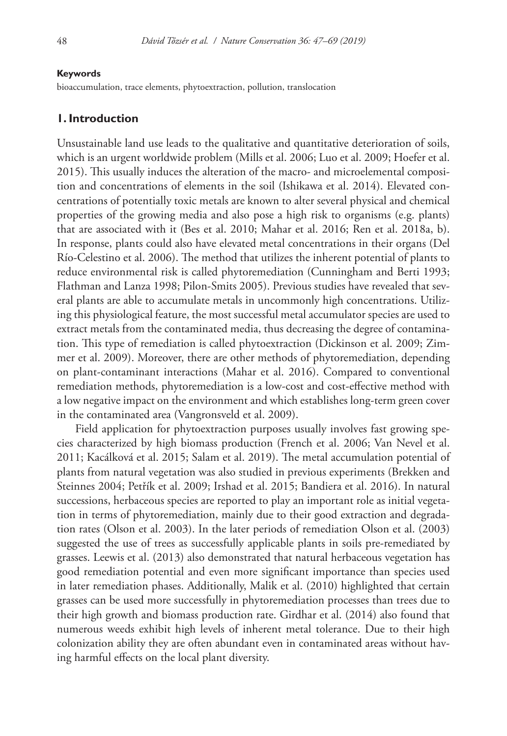#### **Keywords**

bioaccumulation, trace elements, phytoextraction, pollution, translocation

### **1. Introduction**

Unsustainable land use leads to the qualitative and quantitative deterioration of soils, which is an urgent worldwide problem (Mills et al. 2006; Luo et al. 2009; Hoefer et al. 2015). This usually induces the alteration of the macro- and microelemental composition and concentrations of elements in the soil (Ishikawa et al. 2014). Elevated concentrations of potentially toxic metals are known to alter several physical and chemical properties of the growing media and also pose a high risk to organisms (e.g. plants) that are associated with it (Bes et al. 2010; Mahar et al. 2016; Ren et al. 2018a, b). In response, plants could also have elevated metal concentrations in their organs (Del Río-Celestino et al. 2006). The method that utilizes the inherent potential of plants to reduce environmental risk is called phytoremediation (Cunningham and Berti 1993; Flathman and Lanza 1998; Pilon-Smits 2005). Previous studies have revealed that several plants are able to accumulate metals in uncommonly high concentrations. Utilizing this physiological feature, the most successful metal accumulator species are used to extract metals from the contaminated media, thus decreasing the degree of contamination. This type of remediation is called phytoextraction (Dickinson et al. 2009; Zimmer et al. 2009). Moreover, there are other methods of phytoremediation, depending on plant-contaminant interactions (Mahar et al. 2016). Compared to conventional remediation methods, phytoremediation is a low-cost and cost-effective method with a low negative impact on the environment and which establishes long-term green cover in the contaminated area (Vangronsveld et al. 2009).

Field application for phytoextraction purposes usually involves fast growing species characterized by high biomass production (French et al. 2006; Van Nevel et al. 2011; Kacálková et al. 2015; Salam et al. 2019). The metal accumulation potential of plants from natural vegetation was also studied in previous experiments (Brekken and Steinnes 2004; Petřík et al. 2009; Irshad et al. 2015; Bandiera et al. 2016). In natural successions, herbaceous species are reported to play an important role as initial vegetation in terms of phytoremediation, mainly due to their good extraction and degradation rates (Olson et al. 2003). In the later periods of remediation Olson et al. (2003) suggested the use of trees as successfully applicable plants in soils pre-remediated by grasses. Leewis et al. (2013) also demonstrated that natural herbaceous vegetation has good remediation potential and even more significant importance than species used in later remediation phases. Additionally, Malik et al. (2010) highlighted that certain grasses can be used more successfully in phytoremediation processes than trees due to their high growth and biomass production rate. Girdhar et al. (2014) also found that numerous weeds exhibit high levels of inherent metal tolerance. Due to their high colonization ability they are often abundant even in contaminated areas without having harmful effects on the local plant diversity.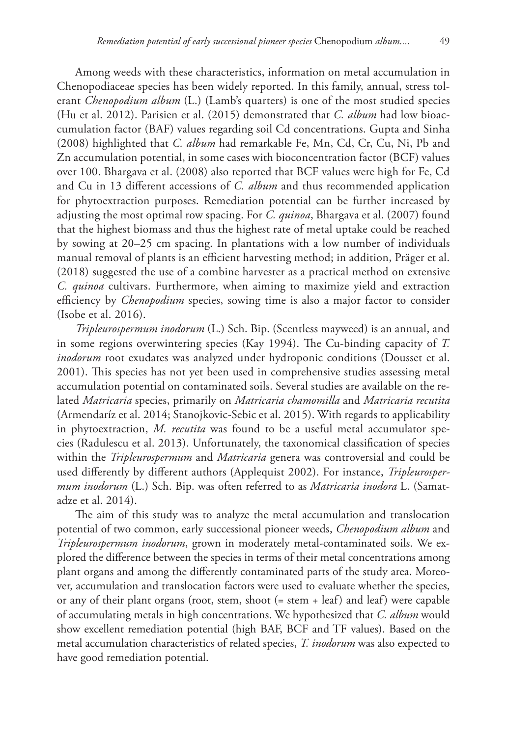Among weeds with these characteristics, information on metal accumulation in Chenopodiaceae species has been widely reported. In this family, annual, stress tolerant *Chenopodium album* (L.) (Lamb's quarters) is one of the most studied species (Hu et al. 2012). Parisien et al. (2015) demonstrated that *C. album* had low bioaccumulation factor (BAF) values regarding soil Cd concentrations. Gupta and Sinha (2008) highlighted that *C. album* had remarkable Fe, Mn, Cd, Cr, Cu, Ni, Pb and Zn accumulation potential, in some cases with bioconcentration factor (BCF) values over 100. Bhargava et al. (2008) also reported that BCF values were high for Fe, Cd and Cu in 13 different accessions of *C. album* and thus recommended application for phytoextraction purposes. Remediation potential can be further increased by adjusting the most optimal row spacing. For *C. quinoa*, Bhargava et al. (2007) found that the highest biomass and thus the highest rate of metal uptake could be reached by sowing at 20–25 cm spacing. In plantations with a low number of individuals manual removal of plants is an efficient harvesting method; in addition, Präger et al. (2018) suggested the use of a combine harvester as a practical method on extensive *C. quinoa* cultivars. Furthermore, when aiming to maximize yield and extraction efficiency by *Chenopodium* species, sowing time is also a major factor to consider (Isobe et al. 2016).

*Tripleurospermum inodorum* (L.) Sch. Bip. (Scentless mayweed) is an annual, and in some regions overwintering species (Kay 1994). The Cu-binding capacity of *T. inodorum* root exudates was analyzed under hydroponic conditions (Dousset et al. 2001). This species has not yet been used in comprehensive studies assessing metal accumulation potential on contaminated soils. Several studies are available on the related *Matricaria* species, primarily on *Matricaria chamomilla* and *Matricaria recutita* (Armendaríz et al. 2014; Stanojkovic-Sebic et al. 2015). With regards to applicability in phytoextraction, *M. recutita* was found to be a useful metal accumulator species (Radulescu et al. 2013). Unfortunately, the taxonomical classification of species within the *Tripleurospermum* and *Matricaria* genera was controversial and could be used differently by different authors (Applequist 2002). For instance, *Tripleurospermum inodorum* (L.) Sch. Bip. was often referred to as *Matricaria inodora* L. (Samatadze et al. 2014).

The aim of this study was to analyze the metal accumulation and translocation potential of two common, early successional pioneer weeds, *Chenopodium album* and *Tripleurospermum inodorum*, grown in moderately metal-contaminated soils. We explored the difference between the species in terms of their metal concentrations among plant organs and among the differently contaminated parts of the study area. Moreover, accumulation and translocation factors were used to evaluate whether the species, or any of their plant organs (root, stem, shoot (= stem + leaf) and leaf) were capable of accumulating metals in high concentrations. We hypothesized that *C. album* would show excellent remediation potential (high BAF, BCF and TF values). Based on the metal accumulation characteristics of related species, *T. inodorum* was also expected to have good remediation potential.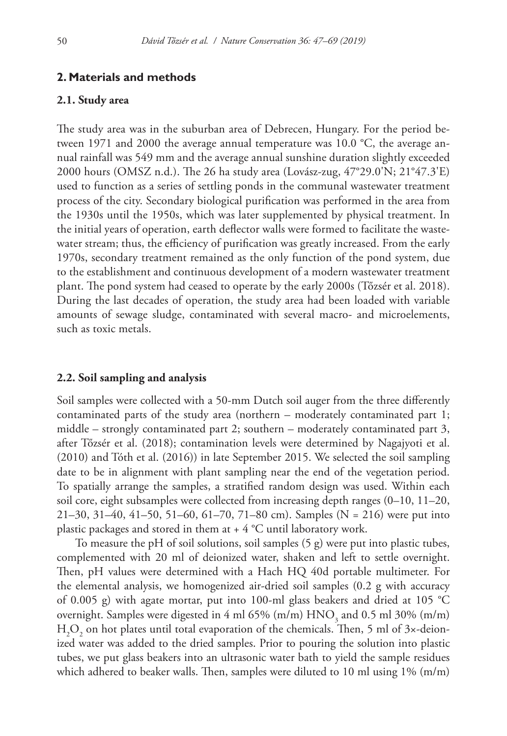### **2. Materials and methods**

### **2.1. Study area**

The study area was in the suburban area of Debrecen, Hungary. For the period between 1971 and 2000 the average annual temperature was 10.0 °C, the average annual rainfall was 549 mm and the average annual sunshine duration slightly exceeded 2000 hours (OMSZ n.d.). The 26 ha study area (Lovász-zug, 47°29.0'N; 21°47.3'E) used to function as a series of settling ponds in the communal wastewater treatment process of the city. Secondary biological purification was performed in the area from the 1930s until the 1950s, which was later supplemented by physical treatment. In the initial years of operation, earth deflector walls were formed to facilitate the wastewater stream; thus, the efficiency of purification was greatly increased. From the early 1970s, secondary treatment remained as the only function of the pond system, due to the establishment and continuous development of a modern wastewater treatment plant. The pond system had ceased to operate by the early 2000s (Tőzsér et al. 2018). During the last decades of operation, the study area had been loaded with variable amounts of sewage sludge, contaminated with several macro- and microelements, such as toxic metals.

#### **2.2. Soil sampling and analysis**

Soil samples were collected with a 50-mm Dutch soil auger from the three differently contaminated parts of the study area (northern – moderately contaminated part 1; middle – strongly contaminated part 2; southern – moderately contaminated part 3, after Tőzsér et al. (2018); contamination levels were determined by Nagajyoti et al. (2010) and Tóth et al. (2016)) in late September 2015. We selected the soil sampling date to be in alignment with plant sampling near the end of the vegetation period. To spatially arrange the samples, a stratified random design was used. Within each soil core, eight subsamples were collected from increasing depth ranges (0–10, 11–20, 21–30, 31–40, 41–50, 51–60, 61–70, 71–80 cm). Samples (N = 216) were put into plastic packages and stored in them at  $+ 4$  °C until laboratory work.

To measure the pH of soil solutions, soil samples (5 g) were put into plastic tubes, complemented with 20 ml of deionized water, shaken and left to settle overnight. Then, pH values were determined with a Hach HQ 40d portable multimeter. For the elemental analysis, we homogenized air-dried soil samples (0.2 g with accuracy of 0.005 g) with agate mortar, put into 100-ml glass beakers and dried at 105 °C overnight. Samples were digested in 4 ml 65% (m/m)  $\mathrm{HNO}_3$  and 0.5 ml 30% (m/m)  $\rm H_2O_2$  on hot plates until total evaporation of the chemicals. Then, 5 ml of 3×-deionized water was added to the dried samples. Prior to pouring the solution into plastic tubes, we put glass beakers into an ultrasonic water bath to yield the sample residues which adhered to beaker walls. Then, samples were diluted to 10 ml using 1% (m/m)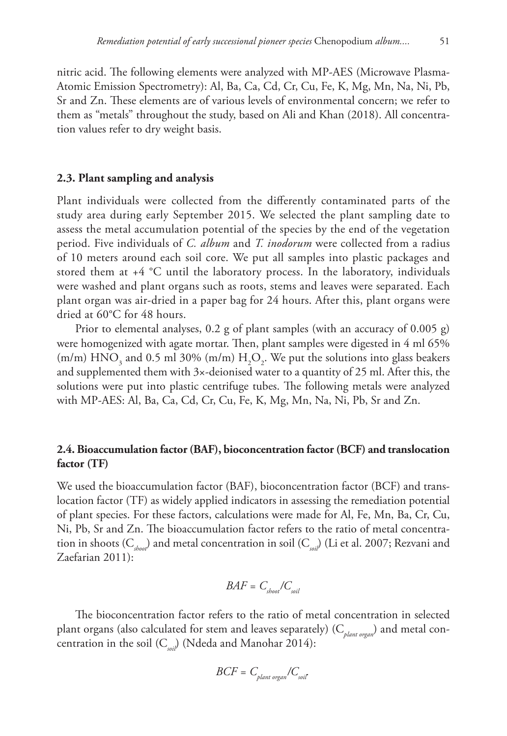nitric acid. The following elements were analyzed with MP-AES (Microwave Plasma-Atomic Emission Spectrometry): Al, Ba, Ca, Cd, Cr, Cu, Fe, K, Mg, Mn, Na, Ni, Pb, Sr and Zn. These elements are of various levels of environmental concern; we refer to them as "metals" throughout the study, based on Ali and Khan (2018). All concentration values refer to dry weight basis.

#### **2.3. Plant sampling and analysis**

Plant individuals were collected from the differently contaminated parts of the study area during early September 2015. We selected the plant sampling date to assess the metal accumulation potential of the species by the end of the vegetation period. Five individuals of *C. album* and *T. inodorum* were collected from a radius of 10 meters around each soil core. We put all samples into plastic packages and stored them at  $+4$   $^{\circ}$ C until the laboratory process. In the laboratory, individuals were washed and plant organs such as roots, stems and leaves were separated. Each plant organ was air-dried in a paper bag for 24 hours. After this, plant organs were dried at 60°C for 48 hours.

Prior to elemental analyses, 0.2 g of plant samples (with an accuracy of 0.005 g) were homogenized with agate mortar. Then, plant samples were digested in 4 ml 65% (m/m)  $HNO_3$  and 0.5 ml 30% (m/m)  $H_2O_2$ . We put the solutions into glass beakers and supplemented them with 3×-deionised water to a quantity of 25 ml. After this, the solutions were put into plastic centrifuge tubes. The following metals were analyzed with MP-AES: Al, Ba, Ca, Cd, Cr, Cu, Fe, K, Mg, Mn, Na, Ni, Pb, Sr and Zn.

### **2.4. Bioaccumulation factor (BAF), bioconcentration factor (BCF) and translocation factor (TF)**

We used the bioaccumulation factor (BAF), bioconcentration factor (BCF) and translocation factor (TF) as widely applied indicators in assessing the remediation potential of plant species. For these factors, calculations were made for Al, Fe, Mn, Ba, Cr, Cu, Ni, Pb, Sr and Zn. The bioaccumulation factor refers to the ratio of metal concentration in shoots (C*shoot*) and metal concentration in soil (C*soil*) (Li et al. 2007; Rezvani and Zaefarian 2011):

$$
BAF = C_{\text{short}}/C_{\text{soil}}
$$

The bioconcentration factor refers to the ratio of metal concentration in selected plant organs (also calculated for stem and leaves separately) (C*plant organ*) and metal concentration in the soil (C<sub>soil</sub>) (Ndeda and Manohar 2014):

$$
BCF = C_{\text{plant organ}} / C_{\text{soil}}
$$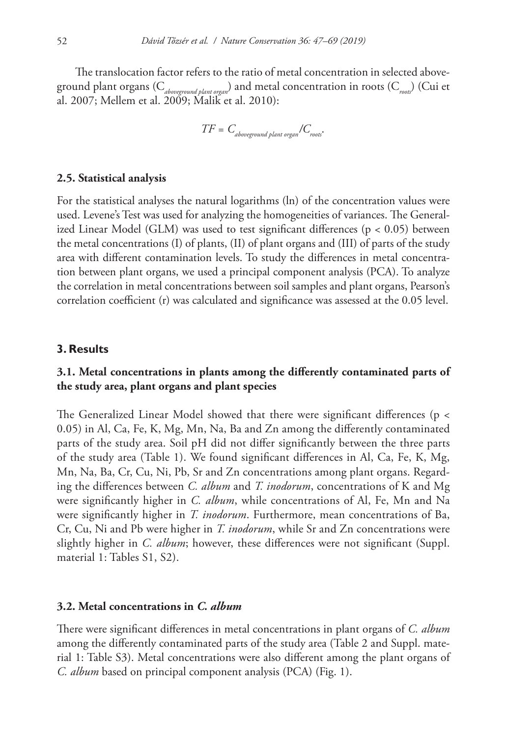The translocation factor refers to the ratio of metal concentration in selected aboveground plant organs (C*aboveground plant organ*) and metal concentration in roots (C*roots*) (Cui et al. 2007; Mellem et al. 2009; Malik et al. 2010):

$$
TF = C_{\text{aboveground plant organ}} / C_{\text{roots}}.
$$

### **2.5. Statistical analysis**

For the statistical analyses the natural logarithms (ln) of the concentration values were used. Levene's Test was used for analyzing the homogeneities of variances. The Generalized Linear Model (GLM) was used to test significant differences (p < 0.05) between the metal concentrations (I) of plants, (II) of plant organs and (III) of parts of the study area with different contamination levels. To study the differences in metal concentration between plant organs, we used a principal component analysis (PCA). To analyze the correlation in metal concentrations between soil samples and plant organs, Pearson's correlation coefficient (r) was calculated and significance was assessed at the 0.05 level.

#### **3. Results**

### **3.1. Metal concentrations in plants among the differently contaminated parts of the study area, plant organs and plant species**

The Generalized Linear Model showed that there were significant differences (p < 0.05) in Al, Ca, Fe, K, Mg, Mn, Na, Ba and Zn among the differently contaminated parts of the study area. Soil pH did not differ significantly between the three parts of the study area (Table 1). We found significant differences in Al, Ca, Fe, K, Mg, Mn, Na, Ba, Cr, Cu, Ni, Pb, Sr and Zn concentrations among plant organs. Regarding the differences between *C. album* and *T. inodorum*, concentrations of K and Mg were significantly higher in *C. album*, while concentrations of Al, Fe, Mn and Na were significantly higher in *T. inodorum*. Furthermore, mean concentrations of Ba, Cr, Cu, Ni and Pb were higher in *T. inodorum*, while Sr and Zn concentrations were slightly higher in *C. album*; however, these differences were not significant (Suppl. material 1: Tables S1, S2).

### **3.2. Metal concentrations in** *C. album*

There were significant differences in metal concentrations in plant organs of *C. album* among the differently contaminated parts of the study area (Table 2 and Suppl. material 1: Table S3). Metal concentrations were also different among the plant organs of *C. album* based on principal component analysis (PCA) (Fig. 1).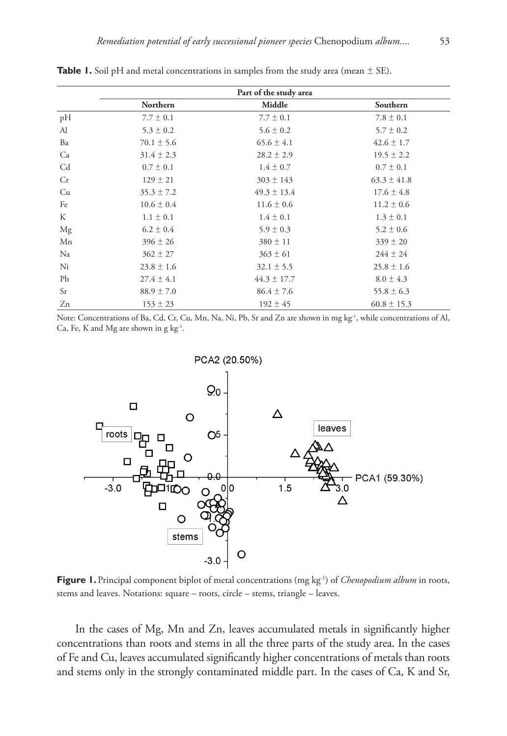|    | Part of the study area |                 |                 |  |  |  |
|----|------------------------|-----------------|-----------------|--|--|--|
|    | Northern               | Middle          | Southern        |  |  |  |
| pH | $7.7 \pm 0.1$          | $7.7 \pm 0.1$   | $7.8 \pm 0.1$   |  |  |  |
| Al | $5.3 \pm 0.2$          | $5.6 \pm 0.2$   | $5.7 \pm 0.2$   |  |  |  |
| Ba | $70.1 \pm 5.6$         | $65.6 \pm 4.1$  | $42.6 \pm 1.7$  |  |  |  |
| Ca | $31.4 \pm 2.3$         | $28.2 \pm 2.9$  | $19.5 \pm 2.2$  |  |  |  |
| Cd | $0.7 \pm 0.1$          | $1.4 \pm 0.7$   | $0.7 \pm 0.1$   |  |  |  |
| Cr | $129 \pm 21$           | $303 \pm 143$   | $63.3 \pm 41.8$ |  |  |  |
| Cu | $35.3 \pm 7.2$         | $49.3 \pm 13.4$ | $17.6 \pm 4.8$  |  |  |  |
| Fe | $10.6 \pm 0.4$         | $11.6 \pm 0.6$  | $11.2 \pm 0.6$  |  |  |  |
| K  | $1.1 \pm 0.1$          | $1.4 \pm 0.1$   | $1.3 \pm 0.1$   |  |  |  |
| Mg | $6.2 \pm 0.4$          | $5.9 \pm 0.3$   | $5.2 \pm 0.6$   |  |  |  |
| Mn | $396 \pm 26$           | $380 \pm 11$    | $339 \pm 20$    |  |  |  |
| Na | $362 \pm 27$           | $363 \pm 61$    | $244 \pm 24$    |  |  |  |
| Ni | $23.8 \pm 1.6$         | $32.1 \pm 5.5$  | $25.8 \pm 1.6$  |  |  |  |
| Pb | $27.4 \pm 4.1$         | $44.3 \pm 17.7$ | $8.0 \pm 4.3$   |  |  |  |
| Sr | $88.9 \pm 7.0$         | $86.4 \pm 7.6$  | $55.8 \pm 6.3$  |  |  |  |
| Zn | $153 \pm 23$           | $192 \pm 45$    | $60.8 \pm 15.3$ |  |  |  |

**Table 1.** Soil pH and metal concentrations in samples from the study area (mean  $\pm$  SE).

Note: Concentrations of Ba, Cd, Cr, Cu, Mn, Na, Ni, Pb, Sr and Zn are shown in mg kg<sup>-1</sup>, while concentrations of Al, Ca, Fe, K and Mg are shown in g  $kg^{-1}$ .



**Figure 1.** Principal component biplot of metal concentrations (mg kg<sup>-1</sup>) of *Chenopodium album* in roots, stems and leaves. Notations: square – roots, circle – stems, triangle – leaves.

In the cases of Mg, Mn and Zn, leaves accumulated metals in significantly higher concentrations than roots and stems in all the three parts of the study area. In the cases of Fe and Cu, leaves accumulated significantly higher concentrations of metals than roots and stems only in the strongly contaminated middle part. In the cases of Ca, K and Sr,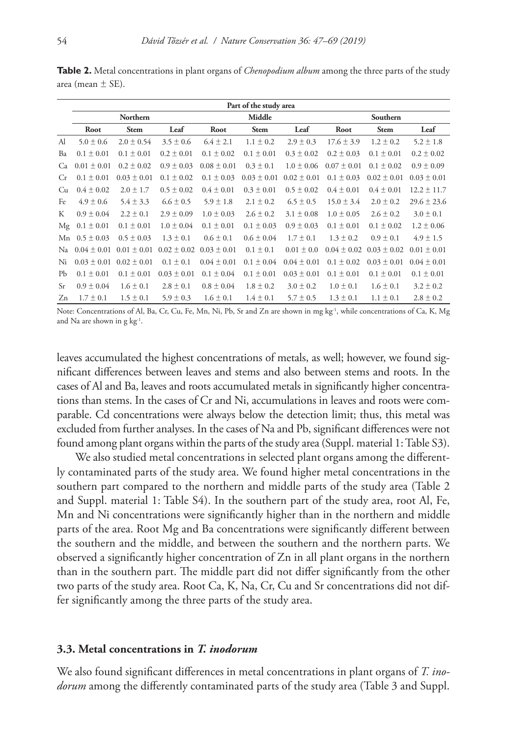|               |                 |                 |                                 |                 | Part of the study area |                 |                 |                 |                 |
|---------------|-----------------|-----------------|---------------------------------|-----------------|------------------------|-----------------|-----------------|-----------------|-----------------|
|               |                 | Northern        |                                 |                 | Middle                 |                 |                 | Southern        |                 |
|               | Root            | <b>Stem</b>     | Leaf                            | Root            | <b>Stem</b>            | Leaf            | Root            | <b>Stem</b>     | Leaf            |
| Al            | $5.0 \pm 0.6$   | $2.0 \pm 0.54$  | $3.5 \pm 0.6$                   | $6.4 \pm 2.1$   | $1.1 \pm 0.2$          | $2.9 \pm 0.3$   | $17.6 \pm 3.9$  | $1.2 \pm 0.2$   | $5.2 \pm 1.8$   |
| Ba            | $0.1 \pm 0.01$  | $0.1 \pm 0.01$  | $0.2 \pm 0.01$                  | $0.1 \pm 0.02$  | $0.1 \pm 0.01$         | $0.3 \pm 0.02$  | $0.2 \pm 0.03$  | $0.1 \pm 0.01$  | $0.2 \pm 0.02$  |
| Ca            | $0.01 \pm 0.01$ | $0.2 \pm 0.02$  | $0.9 \pm 0.03$                  | $0.08 \pm 0.01$ | $0.3 \pm 0.1$          | $1.0 \pm 0.06$  | $0.07 \pm 0.01$ | $0.1 \pm 0.02$  | $0.9 \pm 0.09$  |
| <b>Cr</b>     | $0.1 \pm 0.01$  | $0.03 \pm 0.01$ | $0.1 \pm 0.02$                  | $0.1 \pm 0.03$  | $0.03 \pm 0.01$        | $0.02 \pm 0.01$ | $0.1 \pm 0.03$  | $0.02 \pm 0.01$ | $0.03 \pm 0.01$ |
| Cu            | $0.4 \pm 0.02$  | $2.0 \pm 1.7$   | $0.5 \pm 0.02$                  | $0.4 \pm 0.01$  | $0.3 \pm 0.01$         | $0.5 \pm 0.02$  | $0.4 \pm 0.01$  | $0.4 \pm 0.01$  | $12.2 \pm 11.7$ |
| Fe            | $4.9 \pm 0.6$   | $5.4 \pm 3.3$   | $6.6 \pm 0.5$                   | $5.9 \pm 1.8$   | $2.1 \pm 0.2$          | $6.5 \pm 0.5$   | $15.0 \pm 3.4$  | $2.0 \pm 0.2$   | $29.6 \pm 23.6$ |
| К             | $0.9 \pm 0.04$  | $2.2 \pm 0.1$   | $2.9 \pm 0.09$                  | $1.0 \pm 0.03$  | $2.6 \pm 0.2$          | $3.1 \pm 0.08$  | $1.0 \pm 0.05$  | $2.6 \pm 0.2$   | $3.0 \pm 0.1$   |
| Mg            | $0.1 \pm 0.01$  | $0.1 \pm 0.01$  | $1.0 \pm 0.04$                  | $0.1 \pm 0.01$  | $0.1 \pm 0.03$         | $0.9 \pm 0.03$  | $0.1 \pm 0.01$  | $0.1 \pm 0.02$  | $1.2 \pm 0.06$  |
| Mn            | $0.5 \pm 0.03$  | $0.5 \pm 0.03$  | $1.3 \pm 0.1$                   | $0.6 \pm 0.1$   | $0.6 \pm 0.04$         | $1.7 \pm 0.1$   | $1.3 \pm 0.2$   | $0.9 \pm 0.1$   | $4.9 \pm 1.5$   |
| Na            | $0.04 \pm 0.01$ | $0.01 \pm 0.01$ | $0.02 \pm 0.02$ $0.03 \pm 0.01$ |                 | $0.1 \pm 0.1$          | $0.01 \pm 0.0$  | $0.04 \pm 0.02$ | $0.03 \pm 0.02$ | $0.01 \pm 0.01$ |
| Ni            | $0.03 \pm 0.01$ | $0.02 \pm 0.01$ | $0.1 \pm 0.1$                   | $0.04 \pm 0.01$ | $0.1 \pm 0.04$         | $0.04 \pm 0.01$ | $0.1 \pm 0.02$  | $0.03 \pm 0.01$ | $0.04 \pm 0.01$ |
| Pb            | $0.1 \pm 0.01$  | $0.1 \pm 0.01$  | $0.03 \pm 0.01$                 | $0.1 \pm 0.04$  | $0.1 \pm 0.01$         | $0.03 \pm 0.01$ | $0.1 \pm 0.01$  | $0.1 \pm 0.01$  | $0.1 \pm 0.01$  |
| <sub>Sr</sub> | $0.9 \pm 0.04$  | $1.6 \pm 0.1$   | $2.8 \pm 0.1$                   | $0.8 \pm 0.04$  | $1.8 \pm 0.2$          | $3.0 \pm 0.2$   | $1.0 \pm 0.1$   | $1.6 \pm 0.1$   | $3.2 \pm 0.2$   |
| Zn            | $1.7 \pm 0.1$   | $1.5 \pm 0.1$   | $5.9 \pm 0.3$                   | $1.6 \pm 0.1$   | $1.4 \pm 0.1$          | $5.7 \pm 0.5$   | $1.3 \pm 0.1$   | $1.1 \pm 0.1$   | $2.8 \pm 0.2$   |

**Table 2.** Metal concentrations in plant organs of *Chenopodium album* among the three parts of the study area (mean  $\pm$  SE).

Note: Concentrations of Al, Ba, Cr, Cu, Fe, Mn, Ni, Pb, Sr and Zn are shown in mg kg<sup>-1</sup>, while concentrations of Ca, K, Mg and Na are shown in g kg-1.

leaves accumulated the highest concentrations of metals, as well; however, we found significant differences between leaves and stems and also between stems and roots. In the cases of Al and Ba, leaves and roots accumulated metals in significantly higher concentrations than stems. In the cases of Cr and Ni, accumulations in leaves and roots were comparable. Cd concentrations were always below the detection limit; thus, this metal was excluded from further analyses. In the cases of Na and Pb, significant differences were not found among plant organs within the parts of the study area (Suppl. material 1: Table S3).

We also studied metal concentrations in selected plant organs among the differently contaminated parts of the study area. We found higher metal concentrations in the southern part compared to the northern and middle parts of the study area (Table 2 and Suppl. material 1: Table S4). In the southern part of the study area, root Al, Fe, Mn and Ni concentrations were significantly higher than in the northern and middle parts of the area. Root Mg and Ba concentrations were significantly different between the southern and the middle, and between the southern and the northern parts. We observed a significantly higher concentration of Zn in all plant organs in the northern than in the southern part. The middle part did not differ significantly from the other two parts of the study area. Root Ca, K, Na, Cr, Cu and Sr concentrations did not differ significantly among the three parts of the study area.

#### **3.3. Metal concentrations in** *T. inodorum*

We also found significant differences in metal concentrations in plant organs of *T. inodorum* among the differently contaminated parts of the study area (Table 3 and Suppl.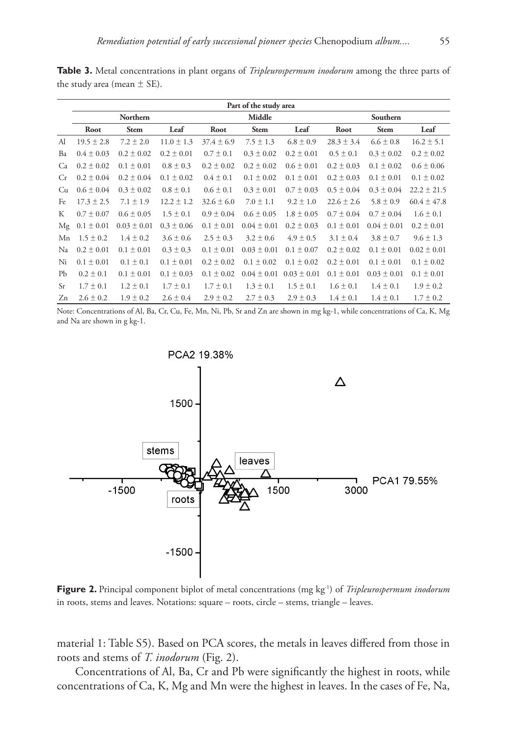|               | Part of the study area |                 |                |                |                 |                 |                |                 |                 |
|---------------|------------------------|-----------------|----------------|----------------|-----------------|-----------------|----------------|-----------------|-----------------|
|               | Northern               |                 |                | Middle         |                 |                 | Southern       |                 |                 |
|               | Root                   | <b>Stem</b>     | Leaf           | Root           | <b>Stem</b>     | Leaf            | Root           | <b>Stem</b>     | Leaf            |
| Al            | $19.5 \pm 2.8$         | $7.2 \pm 2.0$   | $11.0 \pm 1.3$ | $37.4 \pm 6.9$ | $7.5 \pm 1.3$   | $6.8 \pm 0.9$   | $28.3 \pm 3.4$ | $6.6 \pm 0.8$   | $16.2 \pm 5.1$  |
| Ba            | $0.4 \pm 0.03$         | $0.2 \pm 0.02$  | $0.2 \pm 0.01$ | $0.7 \pm 0.1$  | $0.3 \pm 0.02$  | $0.2 \pm 0.01$  | $0.5 \pm 0.1$  | $0.3 \pm 0.02$  | $0.2 \pm 0.02$  |
| Ca            | $0.2 \pm 0.02$         | $0.1 \pm 0.01$  | $0.8 \pm 0.3$  | $0.2 \pm 0.02$ | $0.2 \pm 0.02$  | $0.6 \pm 0.01$  | $0.2 \pm 0.03$ | $0.1 \pm 0.02$  | $0.6 \pm 0.06$  |
| Cr            | $0.2 \pm 0.04$         | $0.2 \pm 0.04$  | $0.1 \pm 0.02$ | $0.4 \pm 0.1$  | $0.1 \pm 0.02$  | $0.1 \pm 0.01$  | $0.2 \pm 0.03$ | $0.1 \pm 0.01$  | $0.1 \pm 0.02$  |
| Cu            | $0.6 \pm 0.04$         | $0.3 \pm 0.02$  | $0.8 \pm 0.1$  | $0.6 \pm 0.1$  | $0.3 \pm 0.01$  | $0.7 \pm 0.03$  | $0.5 \pm 0.04$ | $0.3 \pm 0.04$  | $22.2 \pm 21.5$ |
| Fe            | $17.3 \pm 2.5$         | $7.1 \pm 1.9$   | $12.2 \pm 1.2$ | $32.6 \pm 6.0$ | $7.0 \pm 1.1$   | $9.2 \pm 1.0$   | $22.6 \pm 2.6$ | $5.8 \pm 0.9$   | $60.4 \pm 47.8$ |
| К             | $0.7 \pm 0.07$         | $0.6 \pm 0.05$  | $1.5 \pm 0.1$  | $0.9 \pm 0.04$ | $0.6 \pm 0.05$  | $1.8 \pm 0.05$  | $0.7 \pm 0.04$ | $0.7 \pm 0.04$  | $1.6 \pm 0.1$   |
| Mg            | $0.1 \pm 0.01$         | $0.03 \pm 0.01$ | $0.3 \pm 0.06$ | $0.1 \pm 0.01$ | $0.04 \pm 0.01$ | $0.2 \pm 0.03$  | $0.1 \pm 0.01$ | $0.04 \pm 0.01$ | $0.2 \pm 0.01$  |
| Mn            | $1.5 \pm 0.2$          | $1.4 \pm 0.2$   | $3.6 \pm 0.6$  | $2.5 \pm 0.3$  | $3.2 \pm 0.6$   | $4.9 \pm 0.5$   | $3.1 \pm 0.4$  | $3.8 \pm 0.7$   | $9.6 \pm 1.3$   |
| Na            | $0.2 \pm 0.01$         | $0.1 \pm 0.01$  | $0.3 \pm 0.3$  | $0.1 \pm 0.01$ | $0.03 \pm 0.01$ | $0.1 \pm 0.07$  | $0.2 \pm 0.02$ | $0.1 \pm 0.01$  | $0.02 \pm 0.01$ |
| Ni            | $0.1 \pm 0.01$         | $0.1 \pm 0.1$   | $0.1 \pm 0.01$ | $0.2 \pm 0.02$ | $0.1 \pm 0.02$  | $0.1 \pm 0.02$  | $0.2 \pm 0.01$ | $0.1 \pm 0.01$  | $0.1 \pm 0.02$  |
| Pb            | $0.2 \pm 0.1$          | $0.1 \pm 0.01$  | $0.1 \pm 0.03$ | $0.1 \pm 0.02$ | $0.04 \pm 0.01$ | $0.03 \pm 0.01$ | $0.1 \pm 0.01$ | $0.03 \pm 0.01$ | $0.1 \pm 0.01$  |
| <sub>Sr</sub> | $1.7 \pm 0.1$          | $1.2 \pm 0.1$   | $1.7 \pm 0.1$  | $1.7 \pm 0.1$  | $1.3 \pm 0.1$   | $1.5 \pm 0.1$   | $1.6 \pm 0.1$  | $1.4 \pm 0.1$   | $1.9 \pm 0.2$   |
| Zn            | $2.6 \pm 0.2$          | $1.9 \pm 0.2$   | $2.6 \pm 0.4$  | $2.9 \pm 0.2$  | $2.7 \pm 0.3$   | $2.9 \pm 0.3$   | $1.4 \pm 0.1$  | $1.4 \pm 0.1$   | $1.7 \pm 0.2$   |

**Table 3.** Metal concentrations in plant organs of *Tripleurospermum inodorum* among the three parts of the study area (mean  $\pm$  SE).

Note: Concentrations of Al, Ba, Cr, Cu, Fe, Mn, Ni, Pb, Sr and Zn are shown in mg kg-1, while concentrations of Ca, K, Mg and Na are shown in g kg-1.



**Figure 2.** Principal component biplot of metal concentrations (mg kg-1) of *Tripleurospermum inodorum* in roots, stems and leaves. Notations: square – roots, circle – stems, triangle – leaves.

material 1: Table S5). Based on PCA scores, the metals in leaves differed from those in roots and stems of *T. inodorum* (Fig. 2).

Concentrations of Al, Ba, Cr and Pb were significantly the highest in roots, while concentrations of Ca, K, Mg and Mn were the highest in leaves. In the cases of Fe, Na,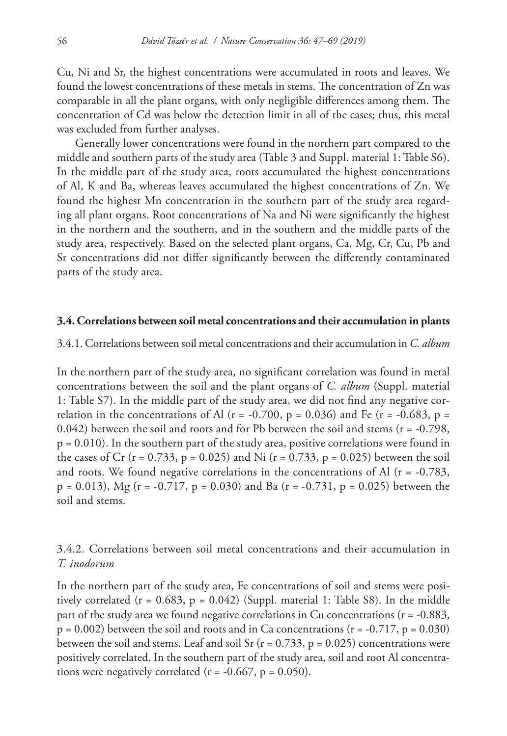Cu, Ni and Sr, the highest concentrations were accumulated in roots and leaves. We found the lowest concentrations of these metals in stems. The concentration of Zn was comparable in all the plant organs, with only negligible differences among them. The concentration of Cd was below the detection limit in all of the cases; thus, this metal was excluded from further analyses.

Generally lower concentrations were found in the northern part compared to the middle and southern parts of the study area (Table 3 and Suppl. material 1: Table S6). In the middle part of the study area, roots accumulated the highest concentrations of Al, K and Ba, whereas leaves accumulated the highest concentrations of Zn. We found the highest Mn concentration in the southern part of the study area regarding all plant organs. Root concentrations of Na and Ni were significantly the highest in the northern and the southern, and in the southern and the middle parts of the study area, respectively. Based on the selected plant organs, Ca, Mg, Cr, Cu, Pb and Sr concentrations did not differ significantly between the differently contaminated parts of the study area.

### **3.4. Correlations between soil metal concentrations and their accumulation in plants**

3.4.1. Correlations between soil metal concentrations and their accumulation in *C. album*

In the northern part of the study area, no significant correlation was found in metal concentrations between the soil and the plant organs of *C. album* (Suppl. material 1: Table S7). In the middle part of the study area, we did not find any negative correlation in the concentrations of Al ( $r = -0.700$ ,  $p = 0.036$ ) and Fe ( $r = -0.683$ ,  $p =$ 0.042) between the soil and roots and for Pb between the soil and stems ( $r = -0.798$ ,  $p = 0.010$ ). In the southern part of the study area, positive correlations were found in the cases of Cr (r = 0.733, p = 0.025) and Ni (r = 0.733, p = 0.025) between the soil and roots. We found negative correlations in the concentrations of Al ( $r = -0.783$ ,  $p = 0.013$ ), Mg (r = -0.717, p = 0.030) and Ba (r = -0.731, p = 0.025) between the soil and stems.

## 3.4.2. Correlations between soil metal concentrations and their accumulation in *T. inodorum*

In the northern part of the study area, Fe concentrations of soil and stems were positively correlated ( $r = 0.683$ ,  $p = 0.042$ ) (Suppl. material 1: Table S8). In the middle part of the study area we found negative correlations in Cu concentrations ( $r = -0.883$ ,  $p = 0.002$ ) between the soil and roots and in Ca concentrations ( $r = -0.717$ ,  $p = 0.030$ ) between the soil and stems. Leaf and soil Sr ( $r = 0.733$ ,  $p = 0.025$ ) concentrations were positively correlated. In the southern part of the study area, soil and root Al concentrations were negatively correlated ( $r = -0.667$ ,  $p = 0.050$ ).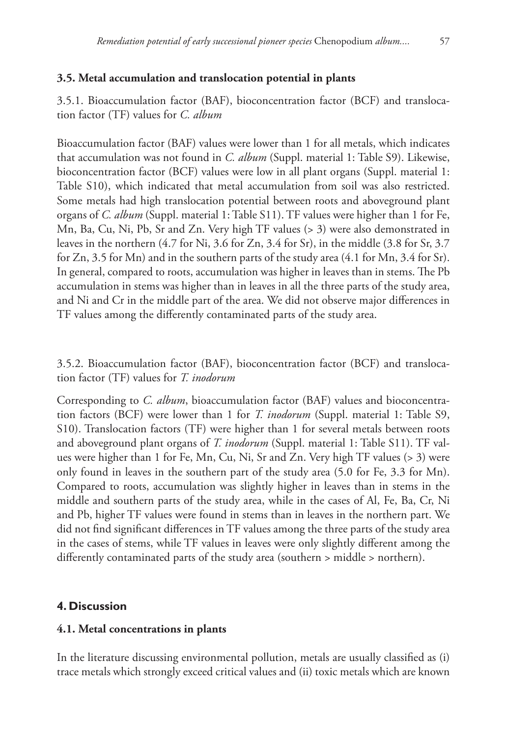### **3.5. Metal accumulation and translocation potential in plants**

3.5.1. Bioaccumulation factor (BAF), bioconcentration factor (BCF) and translocation factor (TF) values for *C. album*

Bioaccumulation factor (BAF) values were lower than 1 for all metals, which indicates that accumulation was not found in *C. album* (Suppl. material 1: Table S9). Likewise, bioconcentration factor (BCF) values were low in all plant organs (Suppl. material 1: Table S10), which indicated that metal accumulation from soil was also restricted. Some metals had high translocation potential between roots and aboveground plant organs of *C. album* (Suppl. material 1: Table S11). TF values were higher than 1 for Fe, Mn, Ba, Cu, Ni, Pb, Sr and Zn. Very high TF values (> 3) were also demonstrated in leaves in the northern (4.7 for Ni, 3.6 for Zn, 3.4 for Sr), in the middle (3.8 for Sr, 3.7 for Zn, 3.5 for Mn) and in the southern parts of the study area (4.1 for Mn, 3.4 for Sr). In general, compared to roots, accumulation was higher in leaves than in stems. The Pb accumulation in stems was higher than in leaves in all the three parts of the study area, and Ni and Cr in the middle part of the area. We did not observe major differences in TF values among the differently contaminated parts of the study area.

3.5.2. Bioaccumulation factor (BAF), bioconcentration factor (BCF) and translocation factor (TF) values for *T. inodorum*

Corresponding to *C. album*, bioaccumulation factor (BAF) values and bioconcentration factors (BCF) were lower than 1 for *T. inodorum* (Suppl. material 1: Table S9, S10). Translocation factors (TF) were higher than 1 for several metals between roots and aboveground plant organs of *T. inodorum* (Suppl. material 1: Table S11). TF values were higher than 1 for Fe, Mn, Cu, Ni, Sr and Zn. Very high TF values (> 3) were only found in leaves in the southern part of the study area (5.0 for Fe, 3.3 for Mn). Compared to roots, accumulation was slightly higher in leaves than in stems in the middle and southern parts of the study area, while in the cases of Al, Fe, Ba, Cr, Ni and Pb, higher TF values were found in stems than in leaves in the northern part. We did not find significant differences in TF values among the three parts of the study area in the cases of stems, while TF values in leaves were only slightly different among the differently contaminated parts of the study area (southern > middle > northern).

### **4. Discussion**

### **4.1. Metal concentrations in plants**

In the literature discussing environmental pollution, metals are usually classified as (i) trace metals which strongly exceed critical values and (ii) toxic metals which are known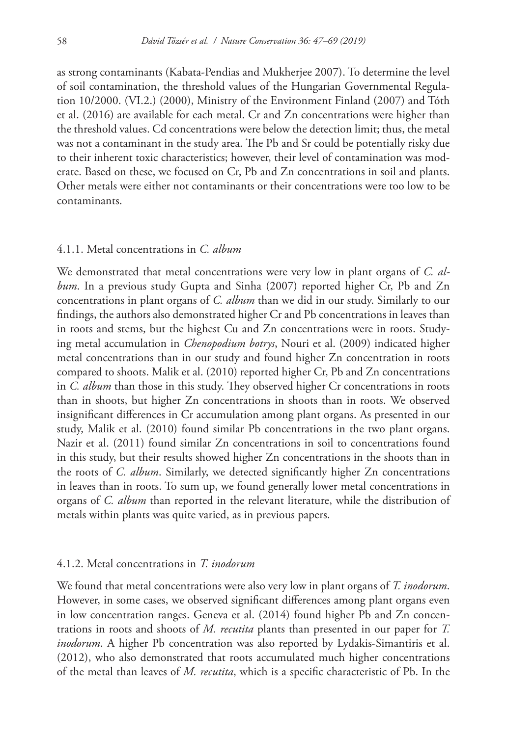as strong contaminants (Kabata-Pendias and Mukherjee 2007). To determine the level of soil contamination, the threshold values of the Hungarian Governmental Regulation 10/2000. (VI.2.) (2000), Ministry of the Environment Finland (2007) and Tóth et al. (2016) are available for each metal. Cr and Zn concentrations were higher than the threshold values. Cd concentrations were below the detection limit; thus, the metal was not a contaminant in the study area. The Pb and Sr could be potentially risky due to their inherent toxic characteristics; however, their level of contamination was moderate. Based on these, we focused on Cr, Pb and Zn concentrations in soil and plants. Other metals were either not contaminants or their concentrations were too low to be contaminants.

### 4.1.1. Metal concentrations in *C. album*

We demonstrated that metal concentrations were very low in plant organs of *C. album*. In a previous study Gupta and Sinha (2007) reported higher Cr, Pb and Zn concentrations in plant organs of *C. album* than we did in our study. Similarly to our findings, the authors also demonstrated higher Cr and Pb concentrations in leaves than in roots and stems, but the highest Cu and Zn concentrations were in roots. Studying metal accumulation in *Chenopodium botrys*, Nouri et al. (2009) indicated higher metal concentrations than in our study and found higher Zn concentration in roots compared to shoots. Malik et al. (2010) reported higher Cr, Pb and Zn concentrations in *C. album* than those in this study. They observed higher Cr concentrations in roots than in shoots, but higher Zn concentrations in shoots than in roots. We observed insignificant differences in Cr accumulation among plant organs. As presented in our study, Malik et al. (2010) found similar Pb concentrations in the two plant organs. Nazir et al. (2011) found similar Zn concentrations in soil to concentrations found in this study, but their results showed higher Zn concentrations in the shoots than in the roots of *C. album*. Similarly, we detected significantly higher Zn concentrations in leaves than in roots. To sum up, we found generally lower metal concentrations in organs of *C. album* than reported in the relevant literature, while the distribution of metals within plants was quite varied, as in previous papers.

### 4.1.2. Metal concentrations in *T. inodorum*

We found that metal concentrations were also very low in plant organs of *T. inodorum*. However, in some cases, we observed significant differences among plant organs even in low concentration ranges. Geneva et al. (2014) found higher Pb and Zn concentrations in roots and shoots of *M. recutita* plants than presented in our paper for *T. inodorum*. A higher Pb concentration was also reported by Lydakis-Simantiris et al. (2012), who also demonstrated that roots accumulated much higher concentrations of the metal than leaves of *M. recutita*, which is a specific characteristic of Pb. In the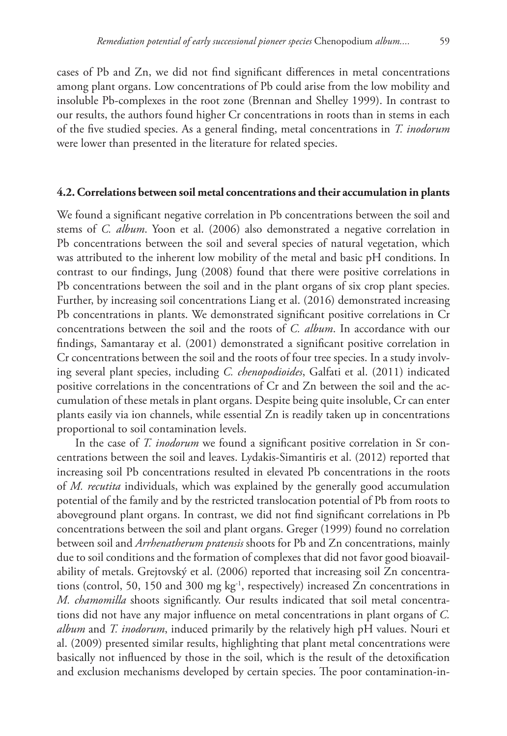cases of Pb and Zn, we did not find significant differences in metal concentrations among plant organs. Low concentrations of Pb could arise from the low mobility and insoluble Pb-complexes in the root zone (Brennan and Shelley 1999). In contrast to our results, the authors found higher Cr concentrations in roots than in stems in each of the five studied species. As a general finding, metal concentrations in *T. inodorum* were lower than presented in the literature for related species.

#### **4.2. Correlations between soil metal concentrations and their accumulation in plants**

We found a significant negative correlation in Pb concentrations between the soil and stems of *C. album*. Yoon et al. (2006) also demonstrated a negative correlation in Pb concentrations between the soil and several species of natural vegetation, which was attributed to the inherent low mobility of the metal and basic pH conditions. In contrast to our findings, Jung (2008) found that there were positive correlations in Pb concentrations between the soil and in the plant organs of six crop plant species. Further, by increasing soil concentrations Liang et al. (2016) demonstrated increasing Pb concentrations in plants. We demonstrated significant positive correlations in Cr concentrations between the soil and the roots of *C. album*. In accordance with our findings, Samantaray et al. (2001) demonstrated a significant positive correlation in Cr concentrations between the soil and the roots of four tree species. In a study involving several plant species, including *C. chenopodioides*, Galfati et al. (2011) indicated positive correlations in the concentrations of Cr and Zn between the soil and the accumulation of these metals in plant organs. Despite being quite insoluble, Cr can enter plants easily via ion channels, while essential Zn is readily taken up in concentrations proportional to soil contamination levels.

In the case of *T. inodorum* we found a significant positive correlation in Sr concentrations between the soil and leaves. Lydakis-Simantiris et al. (2012) reported that increasing soil Pb concentrations resulted in elevated Pb concentrations in the roots of *M. recutita* individuals, which was explained by the generally good accumulation potential of the family and by the restricted translocation potential of Pb from roots to aboveground plant organs. In contrast, we did not find significant correlations in Pb concentrations between the soil and plant organs. Greger (1999) found no correlation between soil and *Arrhenatherum pratensis* shoots for Pb and Zn concentrations, mainly due to soil conditions and the formation of complexes that did not favor good bioavailability of metals. Grejtovský et al. (2006) reported that increasing soil Zn concentrations (control, 50, 150 and 300 mg  $kg^{-1}$ , respectively) increased Zn concentrations in *M. chamomilla* shoots significantly. Our results indicated that soil metal concentrations did not have any major influence on metal concentrations in plant organs of *C. album* and *T. inodorum*, induced primarily by the relatively high pH values. Nouri et al. (2009) presented similar results, highlighting that plant metal concentrations were basically not influenced by those in the soil, which is the result of the detoxification and exclusion mechanisms developed by certain species. The poor contamination-in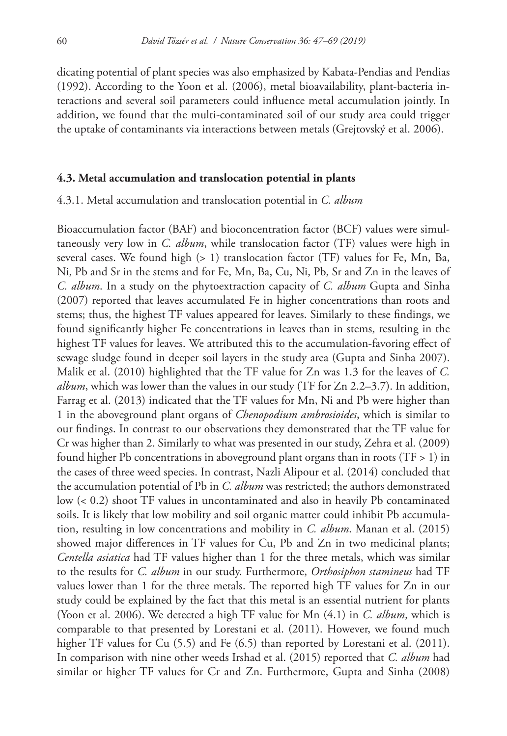dicating potential of plant species was also emphasized by Kabata-Pendias and Pendias (1992). According to the Yoon et al. (2006), metal bioavailability, plant-bacteria interactions and several soil parameters could influence metal accumulation jointly. In addition, we found that the multi-contaminated soil of our study area could trigger the uptake of contaminants via interactions between metals (Grejtovský et al. 2006).

### **4.3. Metal accumulation and translocation potential in plants**

4.3.1. Metal accumulation and translocation potential in *C. album*

Bioaccumulation factor (BAF) and bioconcentration factor (BCF) values were simultaneously very low in *C. album*, while translocation factor (TF) values were high in several cases. We found high  $(> 1)$  translocation factor (TF) values for Fe, Mn, Ba, Ni, Pb and Sr in the stems and for Fe, Mn, Ba, Cu, Ni, Pb, Sr and Zn in the leaves of *C. album*. In a study on the phytoextraction capacity of *C. album* Gupta and Sinha (2007) reported that leaves accumulated Fe in higher concentrations than roots and stems; thus, the highest TF values appeared for leaves. Similarly to these findings, we found significantly higher Fe concentrations in leaves than in stems, resulting in the highest TF values for leaves. We attributed this to the accumulation-favoring effect of sewage sludge found in deeper soil layers in the study area (Gupta and Sinha 2007). Malik et al. (2010) highlighted that the TF value for Zn was 1.3 for the leaves of *C. album*, which was lower than the values in our study (TF for Zn 2.2–3.7). In addition, Farrag et al. (2013) indicated that the TF values for Mn, Ni and Pb were higher than 1 in the aboveground plant organs of *Chenopodium ambrosioides*, which is similar to our findings. In contrast to our observations they demonstrated that the TF value for Cr was higher than 2. Similarly to what was presented in our study, Zehra et al. (2009) found higher Pb concentrations in aboveground plant organs than in roots (TF > 1) in the cases of three weed species. In contrast, Nazli Alipour et al. (2014) concluded that the accumulation potential of Pb in *C. album* was restricted; the authors demonstrated low (< 0.2) shoot TF values in uncontaminated and also in heavily Pb contaminated soils. It is likely that low mobility and soil organic matter could inhibit Pb accumulation, resulting in low concentrations and mobility in *C. album*. Manan et al. (2015) showed major differences in TF values for Cu, Pb and Zn in two medicinal plants; *Centella asiatica* had TF values higher than 1 for the three metals, which was similar to the results for *C. album* in our study. Furthermore, *Orthosiphon stamineus* had TF values lower than 1 for the three metals. The reported high TF values for Zn in our study could be explained by the fact that this metal is an essential nutrient for plants (Yoon et al. 2006). We detected a high TF value for Mn (4.1) in *C. album*, which is comparable to that presented by Lorestani et al. (2011). However, we found much higher TF values for Cu (5.5) and Fe (6.5) than reported by Lorestani et al. (2011). In comparison with nine other weeds Irshad et al. (2015) reported that *C. album* had similar or higher TF values for Cr and Zn. Furthermore, Gupta and Sinha (2008)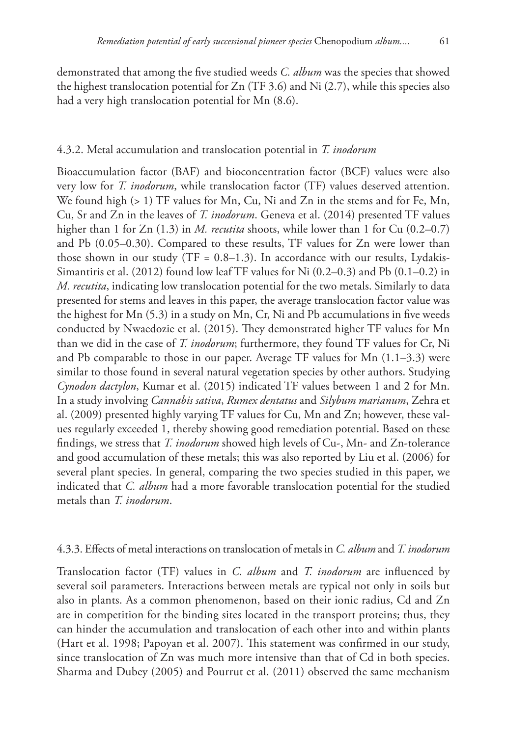demonstrated that among the five studied weeds *C. album* was the species that showed the highest translocation potential for  $Zn$  (TF 3.6) and Ni (2.7), while this species also had a very high translocation potential for Mn (8.6).

#### 4.3.2. Metal accumulation and translocation potential in *T. inodorum*

Bioaccumulation factor (BAF) and bioconcentration factor (BCF) values were also very low for *T. inodorum*, while translocation factor (TF) values deserved attention. We found high (> 1) TF values for Mn, Cu, Ni and Zn in the stems and for Fe, Mn, Cu, Sr and Zn in the leaves of *T. inodorum*. Geneva et al. (2014) presented TF values higher than 1 for Zn (1.3) in *M. recutita* shoots, while lower than 1 for Cu (0.2–0.7) and Pb (0.05–0.30). Compared to these results, TF values for Zn were lower than those shown in our study (TF =  $0.8-1.3$ ). In accordance with our results, Lydakis-Simantiris et al. (2012) found low leaf TF values for Ni (0.2–0.3) and Pb (0.1–0.2) in *M. recutita*, indicating low translocation potential for the two metals. Similarly to data presented for stems and leaves in this paper, the average translocation factor value was the highest for Mn (5.3) in a study on Mn, Cr, Ni and Pb accumulations in five weeds conducted by Nwaedozie et al. (2015). They demonstrated higher TF values for Mn than we did in the case of *T. inodorum*; furthermore, they found TF values for Cr, Ni and Pb comparable to those in our paper. Average TF values for  $Mn$  (1.1–3.3) were similar to those found in several natural vegetation species by other authors. Studying *Cynodon dactylon*, Kumar et al. (2015) indicated TF values between 1 and 2 for Mn. In a study involving *Cannabis sativa*, *Rumex dentatus* and *Silybum marianum*, Zehra et al. (2009) presented highly varying TF values for Cu, Mn and Zn; however, these values regularly exceeded 1, thereby showing good remediation potential. Based on these findings, we stress that *T. inodorum* showed high levels of Cu-, Mn- and Zn-tolerance and good accumulation of these metals; this was also reported by Liu et al. (2006) for several plant species. In general, comparing the two species studied in this paper, we indicated that *C. album* had a more favorable translocation potential for the studied metals than *T. inodorum*.

### 4.3.3. Effects of metal interactions on translocation of metals in *C. album* and *T. inodorum*

Translocation factor (TF) values in *C. album* and *T. inodorum* are influenced by several soil parameters. Interactions between metals are typical not only in soils but also in plants. As a common phenomenon, based on their ionic radius, Cd and Zn are in competition for the binding sites located in the transport proteins; thus, they can hinder the accumulation and translocation of each other into and within plants (Hart et al. 1998; Papoyan et al. 2007). This statement was confirmed in our study, since translocation of Zn was much more intensive than that of Cd in both species. Sharma and Dubey (2005) and Pourrut et al. (2011) observed the same mechanism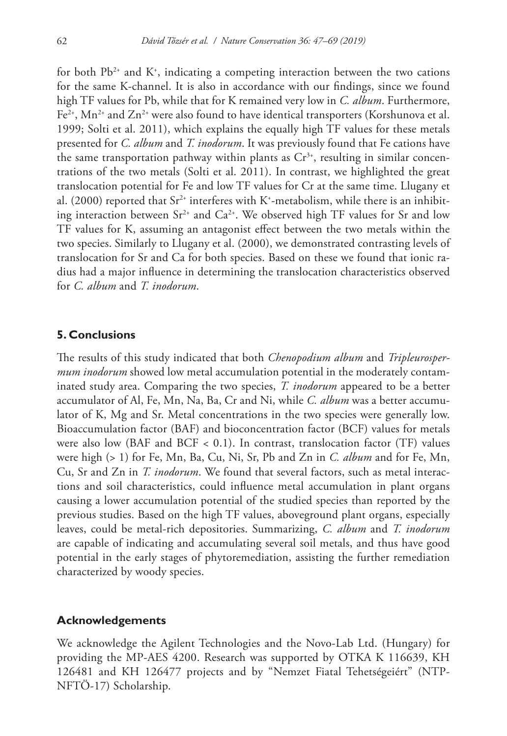for both  $Pb^{2+}$  and  $K^*$ , indicating a competing interaction between the two cations for the same K-channel. It is also in accordance with our findings, since we found high TF values for Pb, while that for K remained very low in *C. album*. Furthermore,  $Fe<sup>2+</sup>$ , Mn<sup>2+</sup> and Zn<sup>2+</sup> were also found to have identical transporters (Korshunova et al. 1999; Solti et al. 2011), which explains the equally high TF values for these metals presented for *C. album* and *T. inodorum*. It was previously found that Fe cations have the same transportation pathway within plants as  $Cr^{3+}$ , resulting in similar concentrations of the two metals (Solti et al. 2011). In contrast, we highlighted the great translocation potential for Fe and low TF values for Cr at the same time. Llugany et al. (2000) reported that Sr $^{2+}$  interferes with K+-metabolism, while there is an inhibiting interaction between  $Sr^{2+}$  and  $Ca^{2+}$ . We observed high TF values for Sr and low TF values for K, assuming an antagonist effect between the two metals within the two species. Similarly to Llugany et al. (2000), we demonstrated contrasting levels of translocation for Sr and Ca for both species. Based on these we found that ionic radius had a major influence in determining the translocation characteristics observed for *C. album* and *T. inodorum*.

### **5. Conclusions**

The results of this study indicated that both *Chenopodium album* and *Tripleurospermum inodorum* showed low metal accumulation potential in the moderately contaminated study area. Comparing the two species, *T. inodorum* appeared to be a better accumulator of Al, Fe, Mn, Na, Ba, Cr and Ni, while *C. album* was a better accumulator of K, Mg and Sr. Metal concentrations in the two species were generally low. Bioaccumulation factor (BAF) and bioconcentration factor (BCF) values for metals were also low (BAF and BCF  $< 0.1$ ). In contrast, translocation factor (TF) values were high (> 1) for Fe, Mn, Ba, Cu, Ni, Sr, Pb and Zn in *C. album* and for Fe, Mn, Cu, Sr and Zn in *T. inodorum*. We found that several factors, such as metal interactions and soil characteristics, could influence metal accumulation in plant organs causing a lower accumulation potential of the studied species than reported by the previous studies. Based on the high TF values, aboveground plant organs, especially leaves, could be metal-rich depositories. Summarizing, *C. album* and *T. inodorum* are capable of indicating and accumulating several soil metals, and thus have good potential in the early stages of phytoremediation, assisting the further remediation characterized by woody species.

### **Acknowledgements**

We acknowledge the Agilent Technologies and the Novo-Lab Ltd. (Hungary) for providing the MP-AES 4200. Research was supported by OTKA K 116639, KH 126481 and KH 126477 projects and by "Nemzet Fiatal Tehetségeiért" (NTP-NFTÖ-17) Scholarship.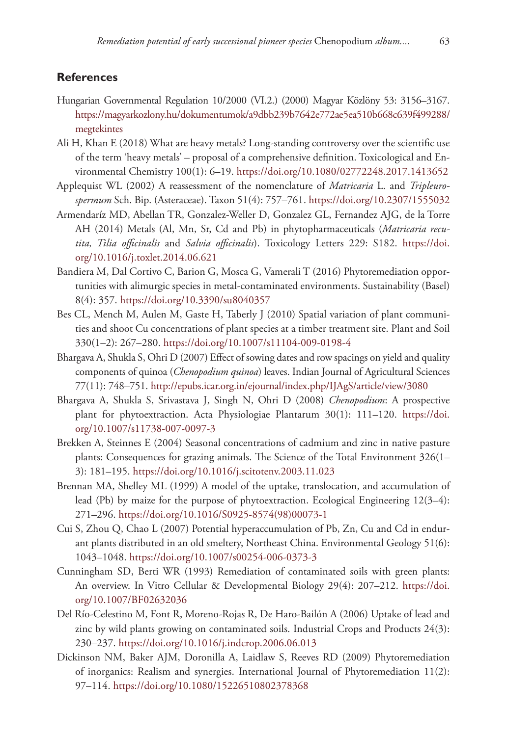### **References**

- Hungarian Governmental Regulation 10/2000 (VI.2.) (2000) Magyar Közlöny 53: 3156–3167. [https://magyarkozlony.hu/dokumentumok/a9dbb239b7642e772ae5ea510b668c639f499288/](https://magyarkozlony.hu/dokumentumok/a9dbb239b7642e772ae5ea510b668c639f499288/megtekintes) [megtekintes](https://magyarkozlony.hu/dokumentumok/a9dbb239b7642e772ae5ea510b668c639f499288/megtekintes)
- Ali H, Khan E (2018) What are heavy metals? Long-standing controversy over the scientific use of the term 'heavy metals' – proposal of a comprehensive definition. Toxicological and Environmental Chemistry 100(1): 6–19.<https://doi.org/10.1080/02772248.2017.1413652>
- Applequist WL (2002) A reassessment of the nomenclature of *Matricaria* L. and *Tripleurospermum* Sch. Bip. (Asteraceae). Taxon 51(4): 757–761.<https://doi.org/10.2307/1555032>
- Armendaríz MD, Abellan TR, Gonzalez-Weller D, Gonzalez GL, Fernandez AJG, de la Torre AH (2014) Metals (Al, Mn, Sr, Cd and Pb) in phytopharmaceuticals (*Matricaria recutita, Tilia officinalis* and *Salvia officinalis*). Toxicology Letters 229: S182. [https://doi.](https://doi.org/10.1016/j.toxlet.2014.06.621) [org/10.1016/j.toxlet.2014.06.621](https://doi.org/10.1016/j.toxlet.2014.06.621)
- Bandiera M, Dal Cortivo C, Barion G, Mosca G, Vamerali T (2016) Phytoremediation opportunities with alimurgic species in metal-contaminated environments. Sustainability (Basel) 8(4): 357. <https://doi.org/10.3390/su8040357>
- Bes CL, Mench M, Aulen M, Gaste H, Taberly J (2010) Spatial variation of plant communities and shoot Cu concentrations of plant species at a timber treatment site. Plant and Soil 330(1–2): 267–280. <https://doi.org/10.1007/s11104-009-0198-4>
- Bhargava A, Shukla S, Ohri D (2007) Effect of sowing dates and row spacings on yield and quality components of quinoa (*Chenopodium quinoa*) leaves. Indian Journal of Agricultural Sciences 77(11): 748–751.<http://epubs.icar.org.in/ejournal/index.php/IJAgS/article/view/3080>
- Bhargava A, Shukla S, Srivastava J, Singh N, Ohri D (2008) *Chenopodium*: A prospective plant for phytoextraction. Acta Physiologiae Plantarum 30(1): 111–120. [https://doi.](https://doi.org/10.1007/s11738-007-0097-3) [org/10.1007/s11738-007-0097-3](https://doi.org/10.1007/s11738-007-0097-3)
- Brekken A, Steinnes E (2004) Seasonal concentrations of cadmium and zinc in native pasture plants: Consequences for grazing animals. The Science of the Total Environment 326(1– 3): 181–195. <https://doi.org/10.1016/j.scitotenv.2003.11.023>
- Brennan MA, Shelley ML (1999) A model of the uptake, translocation, and accumulation of lead (Pb) by maize for the purpose of phytoextraction. Ecological Engineering 12(3–4): 271–296. [https://doi.org/10.1016/S0925-8574\(98\)00073-1](https://doi.org/10.1016/S0925-8574(98)00073-1)
- Cui S, Zhou Q, Chao L (2007) Potential hyperaccumulation of Pb, Zn, Cu and Cd in endurant plants distributed in an old smeltery, Northeast China. Environmental Geology 51(6): 1043–1048.<https://doi.org/10.1007/s00254-006-0373-3>
- Cunningham SD, Berti WR (1993) Remediation of contaminated soils with green plants: An overview. In Vitro Cellular & Developmental Biology 29(4): 207–212. [https://doi.](https://doi.org/10.1007/BF02632036) [org/10.1007/BF02632036](https://doi.org/10.1007/BF02632036)
- Del Río-Celestino M, Font R, Moreno-Rojas R, De Haro-Bailón A (2006) Uptake of lead and zinc by wild plants growing on contaminated soils. Industrial Crops and Products 24(3): 230–237.<https://doi.org/10.1016/j.indcrop.2006.06.013>
- Dickinson NM, Baker AJM, Doronilla A, Laidlaw S, Reeves RD (2009) Phytoremediation of inorganics: Realism and synergies. International Journal of Phytoremediation 11(2): 97–114.<https://doi.org/10.1080/15226510802378368>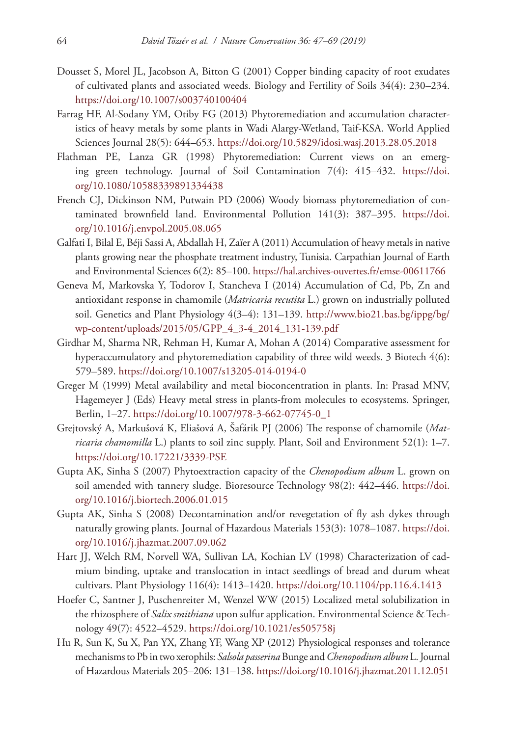- Dousset S, Morel JL, Jacobson A, Bitton G (2001) Copper binding capacity of root exudates of cultivated plants and associated weeds. Biology and Fertility of Soils 34(4): 230–234. <https://doi.org/10.1007/s003740100404>
- Farrag HF, Al-Sodany YM, Otiby FG (2013) Phytoremediation and accumulation characteristics of heavy metals by some plants in Wadi Alargy-Wetland, Taif-KSA. World Applied Sciences Journal 28(5): 644–653. <https://doi.org/10.5829/idosi.wasj.2013.28.05.2018>
- Flathman PE, Lanza GR (1998) Phytoremediation: Current views on an emerging green technology. Journal of Soil Contamination 7(4): 415–432. [https://doi.](https://doi.org/10.1080/10588339891334438) [org/10.1080/10588339891334438](https://doi.org/10.1080/10588339891334438)
- French CJ, Dickinson NM, Putwain PD (2006) Woody biomass phytoremediation of contaminated brownfield land. Environmental Pollution 141(3): 387–395. [https://doi.](https://doi.org/10.1016/j.envpol.2005.08.065) [org/10.1016/j.envpol.2005.08.065](https://doi.org/10.1016/j.envpol.2005.08.065)
- Galfati I, Bilal E, Béji Sassi A, Abdallah H, Zaïer A (2011) Accumulation of heavy metals in native plants growing near the phosphate treatment industry, Tunisia. Carpathian Journal of Earth and Environmental Sciences 6(2): 85–100.<https://hal.archives-ouvertes.fr/emse-00611766>
- Geneva M, Markovska Y, Todorov I, Stancheva I (2014) Accumulation of Cd, Pb, Zn and antioxidant response in chamomile (*Matricaria recutita* L.) grown on industrially polluted soil. Genetics and Plant Physiology 4(3–4): 131–139. [http://www.bio21.bas.bg/ippg/bg/](http://www.bio21.bas.bg/ippg/bg/wp-content/uploads/2015/05/GPP_4_3-4_2014_131-139.pdf) [wp-content/uploads/2015/05/GPP\\_4\\_3-4\\_2014\\_131-139.pdf](http://www.bio21.bas.bg/ippg/bg/wp-content/uploads/2015/05/GPP_4_3-4_2014_131-139.pdf)
- Girdhar M, Sharma NR, Rehman H, Kumar A, Mohan A (2014) Comparative assessment for hyperaccumulatory and phytoremediation capability of three wild weeds. 3 Biotech 4(6): 579–589.<https://doi.org/10.1007/s13205-014-0194-0>
- Greger M (1999) Metal availability and metal bioconcentration in plants. In: Prasad MNV, Hagemeyer J (Eds) Heavy metal stress in plants-from molecules to ecosystems. Springer, Berlin, 1–27. [https://doi.org/10.1007/978-3-662-07745-0\\_1](https://doi.org/10.1007/978-3-662-07745-0_1)
- Grejtovský A, Markušová K, Eliašová A, Šafárik PJ (2006) The response of chamomile (*Matricaria chamomilla* L.) plants to soil zinc supply. Plant, Soil and Environment 52(1): 1–7. <https://doi.org/10.17221/3339-PSE>
- Gupta AK, Sinha S (2007) Phytoextraction capacity of the *Chenopodium album* L. grown on soil amended with tannery sludge. Bioresource Technology 98(2): 442–446. [https://doi.](https://doi.org/10.1016/j.biortech.2006.01.015) [org/10.1016/j.biortech.2006.01.015](https://doi.org/10.1016/j.biortech.2006.01.015)
- Gupta AK, Sinha S (2008) Decontamination and/or revegetation of fly ash dykes through naturally growing plants. Journal of Hazardous Materials 153(3): 1078–1087. [https://doi.](https://doi.org/10.1016/j.jhazmat.2007.09.062) [org/10.1016/j.jhazmat.2007.09.062](https://doi.org/10.1016/j.jhazmat.2007.09.062)
- Hart JJ, Welch RM, Norvell WA, Sullivan LA, Kochian LV (1998) Characterization of cadmium binding, uptake and translocation in intact seedlings of bread and durum wheat cultivars. Plant Physiology 116(4): 1413–1420. <https://doi.org/10.1104/pp.116.4.1413>
- Hoefer C, Santner J, Puschenreiter M, Wenzel WW (2015) Localized metal solubilization in the rhizosphere of *Salix smithiana* upon sulfur application. Environmental Science & Technology 49(7): 4522–4529. <https://doi.org/10.1021/es505758j>
- Hu R, Sun K, Su X, Pan YX, Zhang YF, Wang XP (2012) Physiological responses and tolerance mechanisms to Pb in two xerophils: *Salsola passerina* Bunge and *Chenopodium album* L. Journal of Hazardous Materials 205–206: 131–138. <https://doi.org/10.1016/j.jhazmat.2011.12.051>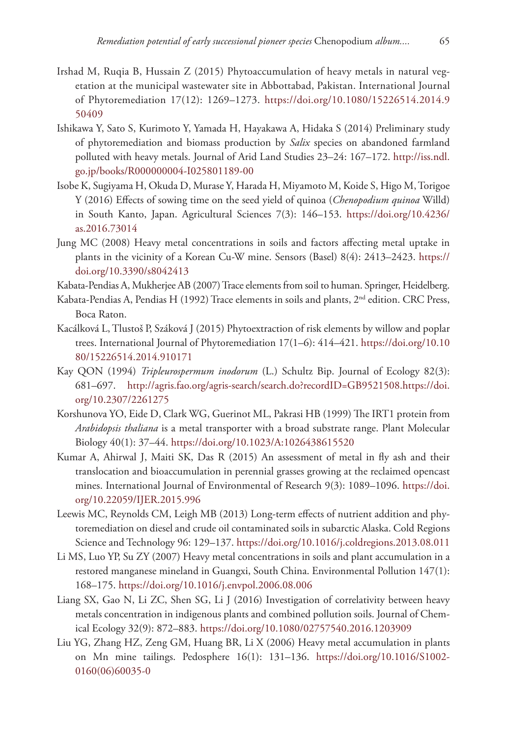- Irshad M, Ruqia B, Hussain Z (2015) Phytoaccumulation of heavy metals in natural vegetation at the municipal wastewater site in Abbottabad, Pakistan. International Journal of Phytoremediation 17(12): 1269–1273. [https://doi.org/10.1080/15226514.2014.9](https://doi.org/10.1080/15226514.2014.950409) [50409](https://doi.org/10.1080/15226514.2014.950409)
- Ishikawa Y, Sato S, Kurimoto Y, Yamada H, Hayakawa A, Hidaka S (2014) Preliminary study of phytoremediation and biomass production by *Salix* species on abandoned farmland polluted with heavy metals. Journal of Arid Land Studies 23–24: 167–172. [http://iss.ndl.](http://iss.ndl.go.jp/books/R000000004-I025801189-00) [go.jp/books/R000000004-I025801189-00](http://iss.ndl.go.jp/books/R000000004-I025801189-00)
- Isobe K, Sugiyama H, Okuda D, Murase Y, Harada H, Miyamoto M, Koide S, Higo M, Torigoe Y (2016) Effects of sowing time on the seed yield of quinoa (*Chenopodium quinoa* Willd) in South Kanto, Japan. Agricultural Sciences 7(3): 146–153. [https://doi.org/10.4236/](https://doi.org/10.4236/as.2016.73014) [as.2016.73014](https://doi.org/10.4236/as.2016.73014)
- Jung MC (2008) Heavy metal concentrations in soils and factors affecting metal uptake in plants in the vicinity of a Korean Cu-W mine. Sensors (Basel) 8(4): 2413–2423. [https://](https://doi.org/10.3390/s8042413) [doi.org/10.3390/s8042413](https://doi.org/10.3390/s8042413)
- Kabata-Pendias A, Mukherjee AB (2007) Trace elements from soil to human. Springer, Heidelberg.
- Kabata-Pendias A, Pendias H (1992) Trace elements in soils and plants,  $2<sup>nd</sup>$  edition. CRC Press, Boca Raton.
- Kacálková L, Tlustoš P, Száková J (2015) Phytoextraction of risk elements by willow and poplar trees. International Journal of Phytoremediation 17(1–6): 414–421. [https://doi.org/10.10](https://doi.org/10.1080/15226514.2014.910171) [80/15226514.2014.910171](https://doi.org/10.1080/15226514.2014.910171)
- Kay QON (1994) *Tripleurospermum inodorum* (L.) Schultz Bip. Journal of Ecology 82(3): 681–697. [http://agris.fao.org/agris-search/search.do?recordID=GB9521508.https://doi.](http://agris.fao.org/agris-search/search.do?recordID=GB9521508.https://doi.org/10.2307/2261275) [org/10.2307/2261275](http://agris.fao.org/agris-search/search.do?recordID=GB9521508.https://doi.org/10.2307/2261275)
- Korshunova YO, Eide D, Clark WG, Guerinot ML, Pakrasi HB (1999) The IRT1 protein from *Arabidopsis thaliana* is a metal transporter with a broad substrate range. Plant Molecular Biology 40(1): 37–44. <https://doi.org/10.1023/A:1026438615520>
- Kumar A, Ahirwal J, Maiti SK, Das R (2015) An assessment of metal in fly ash and their translocation and bioaccumulation in perennial grasses growing at the reclaimed opencast mines. International Journal of Environmental of Research 9(3): 1089–1096. [https://doi.](https://doi.org/10.22059/IJER.2015.996) [org/10.22059/IJER.2015.996](https://doi.org/10.22059/IJER.2015.996)
- Leewis MC, Reynolds CM, Leigh MB (2013) Long-term effects of nutrient addition and phytoremediation on diesel and crude oil contaminated soils in subarctic Alaska. Cold Regions Science and Technology 96: 129–137.<https://doi.org/10.1016/j.coldregions.2013.08.011>
- Li MS, Luo YP, Su ZY (2007) Heavy metal concentrations in soils and plant accumulation in a restored manganese mineland in Guangxi, South China. Environmental Pollution 147(1): 168–175.<https://doi.org/10.1016/j.envpol.2006.08.006>
- Liang SX, Gao N, Li ZC, Shen SG, Li J (2016) Investigation of correlativity between heavy metals concentration in indigenous plants and combined pollution soils. Journal of Chemical Ecology 32(9): 872–883. <https://doi.org/10.1080/02757540.2016.1203909>
- Liu YG, Zhang HZ, Zeng GM, Huang BR, Li X (2006) Heavy metal accumulation in plants on Mn mine tailings. Pedosphere 16(1): 131–136. [https://doi.org/10.1016/S1002-](https://doi.org/10.1016/S1002-0160(06)60035-0) [0160\(06\)60035-0](https://doi.org/10.1016/S1002-0160(06)60035-0)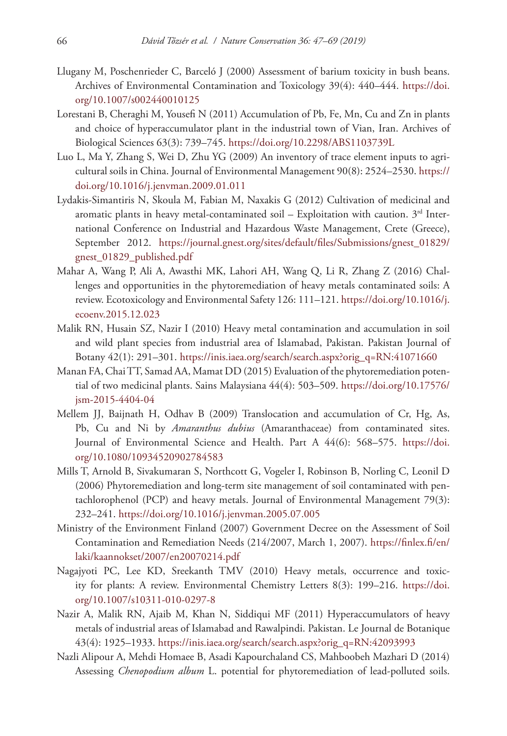- Llugany M, Poschenrieder C, Barceló J (2000) Assessment of barium toxicity in bush beans. Archives of Environmental Contamination and Toxicology 39(4): 440–444. [https://doi.](https://doi.org/10.1007/s002440010125) [org/10.1007/s002440010125](https://doi.org/10.1007/s002440010125)
- Lorestani B, Cheraghi M, Yousefi N (2011) Accumulation of Pb, Fe, Mn, Cu and Zn in plants and choice of hyperaccumulator plant in the industrial town of Vian, Iran. Archives of Biological Sciences 63(3): 739–745. <https://doi.org/10.2298/ABS1103739L>
- Luo L, Ma Y, Zhang S, Wei D, Zhu YG (2009) An inventory of trace element inputs to agricultural soils in China. Journal of Environmental Management 90(8): 2524–2530. [https://](https://doi.org/10.1016/j.jenvman.2009.01.011) [doi.org/10.1016/j.jenvman.2009.01.011](https://doi.org/10.1016/j.jenvman.2009.01.011)
- Lydakis-Simantiris N, Skoula M, Fabian M, Naxakis G (2012) Cultivation of medicinal and aromatic plants in heavy metal-contaminated soil – Exploitation with caution.  $3<sup>rd</sup>$  International Conference on Industrial and Hazardous Waste Management, Crete (Greece), September 2012. [https://journal.gnest.org/sites/default/files/Submissions/gnest\\_01829/](https://journal.gnest.org/sites/default/files/Submissions/gnest_01829/gnest_01829_published.pdf) [gnest\\_01829\\_published.pdf](https://journal.gnest.org/sites/default/files/Submissions/gnest_01829/gnest_01829_published.pdf)
- Mahar A, Wang P, Ali A, Awasthi MK, Lahori AH, Wang Q, Li R, Zhang Z (2016) Challenges and opportunities in the phytoremediation of heavy metals contaminated soils: A review. Ecotoxicology and Environmental Safety 126: 111–121. [https://doi.org/10.1016/j.](https://doi.org/10.1016/j.ecoenv.2015.12.023) [ecoenv.2015.12.023](https://doi.org/10.1016/j.ecoenv.2015.12.023)
- Malik RN, Husain SZ, Nazir I (2010) Heavy metal contamination and accumulation in soil and wild plant species from industrial area of Islamabad, Pakistan. Pakistan Journal of Botany 42(1): 291–301. [https://inis.iaea.org/search/search.aspx?orig\\_q=RN:41071660](https://inis.iaea.org/search/search.aspx?orig_q=RN:41071660)
- Manan FA, Chai TT, Samad AA, Mamat DD (2015) Evaluation of the phytoremediation potential of two medicinal plants. Sains Malaysiana 44(4): 503–509. [https://doi.org/10.17576/](https://doi.org/10.17576/jsm-2015-4404-04) [jsm-2015-4404-04](https://doi.org/10.17576/jsm-2015-4404-04)
- Mellem JJ, Baijnath H, Odhav B (2009) Translocation and accumulation of Cr, Hg, As, Pb, Cu and Ni by *Amaranthus dubius* (Amaranthaceae) from contaminated sites. Journal of Environmental Science and Health. Part A 44(6): 568–575. [https://doi.](https://doi.org/10.1080/10934520902784583) [org/10.1080/10934520902784583](https://doi.org/10.1080/10934520902784583)
- Mills T, Arnold B, Sivakumaran S, Northcott G, Vogeler I, Robinson B, Norling C, Leonil D (2006) Phytoremediation and long-term site management of soil contaminated with pentachlorophenol (PCP) and heavy metals. Journal of Environmental Management 79(3): 232–241.<https://doi.org/10.1016/j.jenvman.2005.07.005>
- Ministry of the Environment Finland (2007) Government Decree on the Assessment of Soil Contamination and Remediation Needs (214/2007, March 1, 2007). [https://finlex.fi/en/](https://finlex.fi/en/laki/kaannokset/2007/en20070214.pdf) [laki/kaannokset/2007/en20070214.pdf](https://finlex.fi/en/laki/kaannokset/2007/en20070214.pdf)
- Nagajyoti PC, Lee KD, Sreekanth TMV (2010) Heavy metals, occurrence and toxicity for plants: A review. Environmental Chemistry Letters 8(3): 199–216. [https://doi.](https://doi.org/10.1007/s10311-010-0297-8) [org/10.1007/s10311-010-0297-8](https://doi.org/10.1007/s10311-010-0297-8)
- Nazir A, Malik RN, Ajaib M, Khan N, Siddiqui MF (2011) Hyperaccumulators of heavy metals of industrial areas of Islamabad and Rawalpindi. Pakistan. Le Journal de Botanique 43(4): 1925–1933. [https://inis.iaea.org/search/search.aspx?orig\\_q=RN:42093993](https://inis.iaea.org/search/search.aspx?orig_q=RN:42093993)
- Nazli Alipour A, Mehdi Homaee B, Asadi Kapourchaland CS, Mahboobeh Mazhari D (2014) Assessing *Chenopodium album* L. potential for phytoremediation of lead-polluted soils.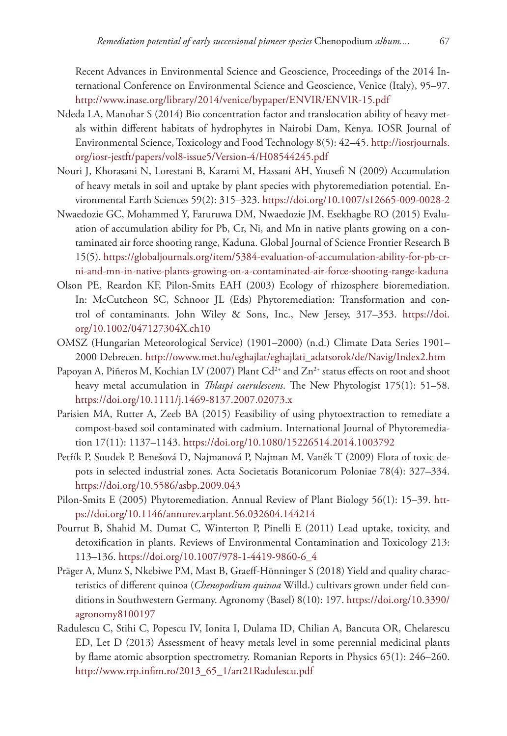Recent Advances in Environmental Science and Geoscience, Proceedings of the 2014 International Conference on Environmental Science and Geoscience, Venice (Italy), 95–97. <http://www.inase.org/library/2014/venice/bypaper/ENVIR/ENVIR-15.pdf>

- Ndeda LA, Manohar S (2014) Bio concentration factor and translocation ability of heavy metals within different habitats of hydrophytes in Nairobi Dam, Kenya. IOSR Journal of Environmental Science, Toxicology and Food Technology 8(5): 42–45. [http://iosrjournals.](http://iosrjournals.org/iosr-jestft/papers/vol8-issue5/Version-4/H08544245.pdf) [org/iosr-jestft/papers/vol8-issue5/Version-4/H08544245.pdf](http://iosrjournals.org/iosr-jestft/papers/vol8-issue5/Version-4/H08544245.pdf)
- Nouri J, Khorasani N, Lorestani B, Karami M, Hassani AH, Yousefi N (2009) Accumulation of heavy metals in soil and uptake by plant species with phytoremediation potential. Environmental Earth Sciences 59(2): 315–323.<https://doi.org/10.1007/s12665-009-0028-2>
- Nwaedozie GC, Mohammed Y, Faruruwa DM, Nwaedozie JM, Esekhagbe RO (2015) Evaluation of accumulation ability for Pb, Cr, Ni, and Mn in native plants growing on a contaminated air force shooting range, Kaduna. Global Journal of Science Frontier Research B 15(5). [https://globaljournals.org/item/5384-evaluation-of-accumulation-ability-for-pb-cr](https://globaljournals.org/item/5384-evaluation-of-accumulation-ability-for-pb-cr-ni-and-mn-in-native-plants-growing-on-a-contaminated-air-force-shooting-range-kaduna)[ni-and-mn-in-native-plants-growing-on-a-contaminated-air-force-shooting-range-kaduna](https://globaljournals.org/item/5384-evaluation-of-accumulation-ability-for-pb-cr-ni-and-mn-in-native-plants-growing-on-a-contaminated-air-force-shooting-range-kaduna)
- Olson PE, Reardon KF, Pilon-Smits EAH (2003) Ecology of rhizosphere bioremediation. In: McCutcheon SC, Schnoor JL (Eds) Phytoremediation: Transformation and control of contaminants. John Wiley & Sons, Inc., New Jersey, 317–353. [https://doi.](https://doi.org/10.1002/047127304X.ch10) [org/10.1002/047127304X.ch10](https://doi.org/10.1002/047127304X.ch10)
- OMSZ (Hungarian Meteorological Service) (1901–2000) (n.d.) Climate Data Series 1901– 2000 Debrecen. [http://owww.met.hu/eghajlat/eghajlati\\_adatsorok/de/Navig/Index2.htm](http://owww.met.hu/eghajlat/eghajlati_adatsorok/de/Navig/Index2.htm)
- Papoyan A, Piñeros M, Kochian LV (2007) Plant  $Cd^{2*}$  and  $Zn^{2*}$  status effects on root and shoot heavy metal accumulation in *Thlaspi caerulescens*. The New Phytologist 175(1): 51–58. <https://doi.org/10.1111/j.1469-8137.2007.02073.x>
- Parisien MA, Rutter A, Zeeb BA (2015) Feasibility of using phytoextraction to remediate a compost-based soil contaminated with cadmium. International Journal of Phytoremediation 17(11): 1137–1143.<https://doi.org/10.1080/15226514.2014.1003792>
- Petřík P, Soudek P, Benešová D, Najmanová P, Najman M, Vaněk T (2009) Flora of toxic depots in selected industrial zones. Acta Societatis Botanicorum Poloniae 78(4): 327–334. <https://doi.org/10.5586/asbp.2009.043>
- Pilon-Smits E (2005) Phytoremediation. Annual Review of Plant Biology 56(1): 15–39. [htt](https://doi.org/10.1146/annurev.arplant.56.032604.144214)[ps://doi.org/10.1146/annurev.arplant.56.032604.144214](https://doi.org/10.1146/annurev.arplant.56.032604.144214)
- Pourrut B, Shahid M, Dumat C, Winterton P, Pinelli E (2011) Lead uptake, toxicity, and detoxification in plants. Reviews of Environmental Contamination and Toxicology 213: 113–136. [https://doi.org/10.1007/978-1-4419-9860-6\\_4](https://doi.org/10.1007/978-1-4419-9860-6_4)
- Präger A, Munz S, Nkebiwe PM, Mast B, Graeff-Hönninger S (2018) Yield and quality characteristics of different quinoa (*Chenopodium quinoa* Willd.) cultivars grown under field conditions in Southwestern Germany. Agronomy (Basel) 8(10): 197. [https://doi.org/10.3390/](https://doi.org/10.3390/agronomy8100197) [agronomy8100197](https://doi.org/10.3390/agronomy8100197)
- Radulescu C, Stihi C, Popescu IV, Ionita I, Dulama ID, Chilian A, Bancuta OR, Chelarescu ED, Let D (2013) Assessment of heavy metals level in some perennial medicinal plants by flame atomic absorption spectrometry. Romanian Reports in Physics 65(1): 246–260. [http://www.rrp.infim.ro/2013\\_65\\_1/art21Radulescu.pdf](http://www.rrp.infim.ro/2013_65_1/art21Radulescu.pdf)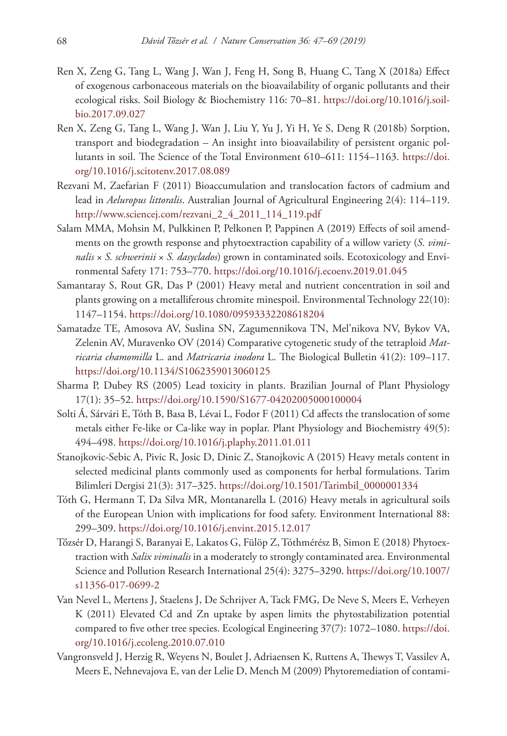- Ren X, Zeng G, Tang L, Wang J, Wan J, Feng H, Song B, Huang C, Tang X (2018a) Effect of exogenous carbonaceous materials on the bioavailability of organic pollutants and their ecological risks. Soil Biology & Biochemistry 116: 70–81. [https://doi.org/10.1016/j.soil](https://doi.org/10.1016/j.soilbio.2017.09.027)[bio.2017.09.027](https://doi.org/10.1016/j.soilbio.2017.09.027)
- Ren X, Zeng G, Tang L, Wang J, Wan J, Liu Y, Yu J, Yi H, Ye S, Deng R (2018b) Sorption, transport and biodegradation – An insight into bioavailability of persistent organic pollutants in soil. The Science of the Total Environment 610–611: 1154–1163. [https://doi.](https://doi.org/10.1016/j.scitotenv.2017.08.089) [org/10.1016/j.scitotenv.2017.08.089](https://doi.org/10.1016/j.scitotenv.2017.08.089)
- Rezvani M, Zaefarian F (2011) Bioaccumulation and translocation factors of cadmium and lead in *Aeluropus littoralis*. Australian Journal of Agricultural Engineering 2(4): 114–119. [http://www.sciencej.com/rezvani\\_2\\_4\\_2011\\_114\\_119.pdf](http://www.sciencej.com/rezvani_2_4_2011_114_119.pdf)
- Salam MMA, Mohsin M, Pulkkinen P, Pelkonen P, Pappinen A (2019) Effects of soil amendments on the growth response and phytoextraction capability of a willow variety (*S. viminalis* × *S. schwerinii* × *S. dasyclados*) grown in contaminated soils. Ecotoxicology and Environmental Safety 171: 753–770. <https://doi.org/10.1016/j.ecoenv.2019.01.045>
- Samantaray S, Rout GR, Das P (2001) Heavy metal and nutrient concentration in soil and plants growing on a metalliferous chromite minespoil. Environmental Technology 22(10): 1147–1154.<https://doi.org/10.1080/09593332208618204>
- Samatadze TE, Amosova AV, Suslina SN, Zagumennikova TN, Mel'nikova NV, Bykov VA, Zelenin AV, Muravenko OV (2014) Comparative cytogenetic study of the tetraploid *Matricaria chamomilla* L. and *Matricaria inodora* L. The Biological Bulletin 41(2): 109–117. <https://doi.org/10.1134/S1062359013060125>
- Sharma P, Dubey RS (2005) Lead toxicity in plants. Brazilian Journal of Plant Physiology 17(1): 35–52. <https://doi.org/10.1590/S1677-04202005000100004>
- Solti Á, Sárvári E, Tóth B, Basa B, Lévai L, Fodor F (2011) Cd affects the translocation of some metals either Fe-like or Ca-like way in poplar. Plant Physiology and Biochemistry 49(5): 494–498.<https://doi.org/10.1016/j.plaphy.2011.01.011>
- Stanojkovic-Sebic A, Pivic R, Josic D, Dinic Z, Stanojkovic A (2015) Heavy metals content in selected medicinal plants commonly used as components for herbal formulations. Tarim Bilimleri Dergisi 21(3): 317–325. [https://doi.org/10.1501/Tarimbil\\_0000001334](https://doi.org/10.1501/Tarimbil_0000001334)
- Tóth G, Hermann T, Da Silva MR, Montanarella L (2016) Heavy metals in agricultural soils of the European Union with implications for food safety. Environment International 88: 299–309.<https://doi.org/10.1016/j.envint.2015.12.017>
- Tőzsér D, Harangi S, Baranyai E, Lakatos G, Fülöp Z, Tóthmérész B, Simon E (2018) Phytoextraction with *Salix viminalis* in a moderately to strongly contaminated area. Environmental Science and Pollution Research International 25(4): 3275–3290. [https://doi.org/10.1007/](https://doi.org/10.1007/s11356-017-0699-2) [s11356-017-0699-2](https://doi.org/10.1007/s11356-017-0699-2)
- Van Nevel L, Mertens J, Staelens J, De Schrijver A, Tack FMG, De Neve S, Meers E, Verheyen K (2011) Elevated Cd and Zn uptake by aspen limits the phytostabilization potential compared to five other tree species. Ecological Engineering 37(7): 1072–1080. [https://doi.](https://doi.org/10.1016/j.ecoleng.2010.07.010) [org/10.1016/j.ecoleng.2010.07.010](https://doi.org/10.1016/j.ecoleng.2010.07.010)
- Vangronsveld J, Herzig R, Weyens N, Boulet J, Adriaensen K, Ruttens A, Thewys T, Vassilev A, Meers E, Nehnevajova E, van der Lelie D, Mench M (2009) Phytoremediation of contami-